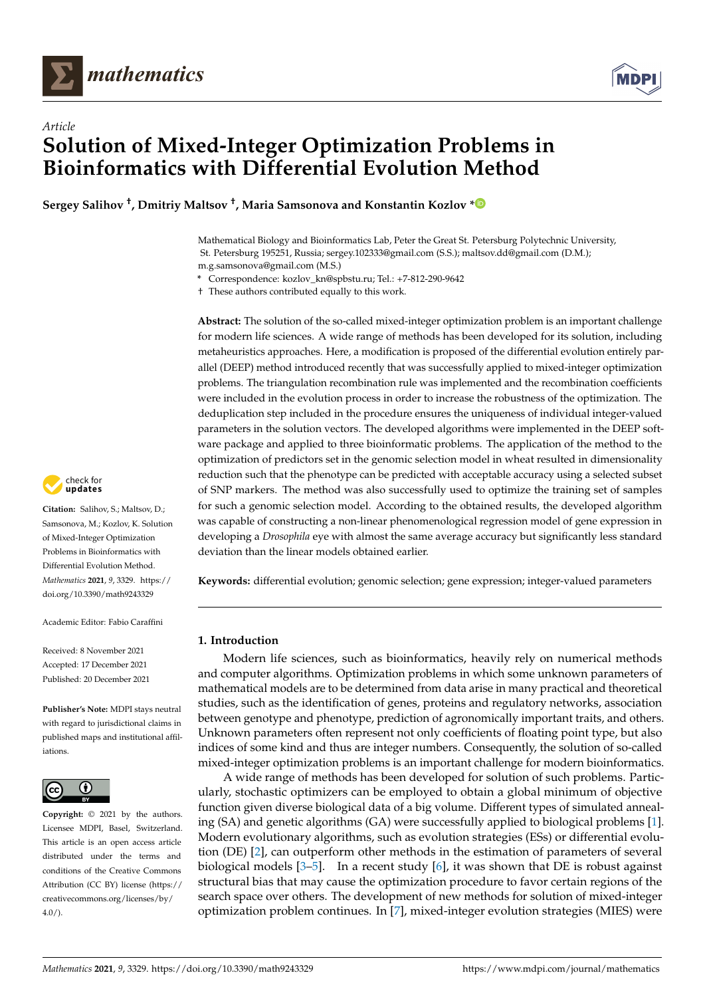



# *Article* **Solution of Mixed-Integer Optimization Problems in Bioinformatics with Differential Evolution Method**

**Sergey Salihov † , Dmitriy Maltsov † , Maria Samsonova and Konstantin Kozlov [\\*](https://orcid.org/0000-0001-6765-236X)**

Mathematical Biology and Bioinformatics Lab, Peter the Great St. Petersburg Polytechnic University, St. Petersburg 195251, Russia; sergey.102333@gmail.com (S.S.); maltsov.dd@gmail.com (D.M.); m.g.samsonova@gmail.com (M.S.)

**\*** Correspondence: kozlov\_kn@spbstu.ru; Tel.: +7-812-290-9642

† These authors contributed equally to this work.

**Abstract:** The solution of the so-called mixed-integer optimization problem is an important challenge for modern life sciences. A wide range of methods has been developed for its solution, including metaheuristics approaches. Here, a modification is proposed of the differential evolution entirely parallel (DEEP) method introduced recently that was successfully applied to mixed-integer optimization problems. The triangulation recombination rule was implemented and the recombination coefficients were included in the evolution process in order to increase the robustness of the optimization. The deduplication step included in the procedure ensures the uniqueness of individual integer-valued parameters in the solution vectors. The developed algorithms were implemented in the DEEP software package and applied to three bioinformatic problems. The application of the method to the optimization of predictors set in the genomic selection model in wheat resulted in dimensionality reduction such that the phenotype can be predicted with acceptable accuracy using a selected subset of SNP markers. The method was also successfully used to optimize the training set of samples for such a genomic selection model. According to the obtained results, the developed algorithm was capable of constructing a non-linear phenomenological regression model of gene expression in developing a *Drosophila* eye with almost the same average accuracy but significantly less standard deviation than the linear models obtained earlier.

**Keywords:** differential evolution; genomic selection; gene expression; integer-valued parameters

## **1. Introduction**

Modern life sciences, such as bioinformatics, heavily rely on numerical methods and computer algorithms. Optimization problems in which some unknown parameters of mathematical models are to be determined from data arise in many practical and theoretical studies, such as the identification of genes, proteins and regulatory networks, association between genotype and phenotype, prediction of agronomically important traits, and others. Unknown parameters often represent not only coefficients of floating point type, but also indices of some kind and thus are integer numbers. Consequently, the solution of so-called mixed-integer optimization problems is an important challenge for modern bioinformatics.

A wide range of methods has been developed for solution of such problems. Particularly, stochastic optimizers can be employed to obtain a global minimum of objective function given diverse biological data of a big volume. Different types of simulated annealing (SA) and genetic algorithms (GA) were successfully applied to biological problems [\[1\]](#page-15-0). Modern evolutionary algorithms, such as evolution strategies (ESs) or differential evolution (DE) [\[2\]](#page-15-1), can outperform other methods in the estimation of parameters of several biological models [\[3–](#page-15-2)[5\]](#page-15-3). In a recent study [\[6\]](#page-15-4), it was shown that DE is robust against structural bias that may cause the optimization procedure to favor certain regions of the search space over others. The development of new methods for solution of mixed-integer optimization problem continues. In [\[7\]](#page-15-5), mixed-integer evolution strategies (MIES) were



**Citation:** Salihov, S.; Maltsov, D.; Samsonova, M.; Kozlov, K. Solution of Mixed-Integer Optimization Problems in Bioinformatics with Differential Evolution Method. *Mathematics* **2021**, *9*, 3329. [https://](https://doi.org/10.3390/math9243329) [doi.org/10.3390/math9243329](https://doi.org/10.3390/math9243329)

Academic Editor: Fabio Caraffini

Received: 8 November 2021 Accepted: 17 December 2021 Published: 20 December 2021

**Publisher's Note:** MDPI stays neutral with regard to jurisdictional claims in published maps and institutional affiliations.



**Copyright:** © 2021 by the authors. Licensee MDPI, Basel, Switzerland. This article is an open access article distributed under the terms and conditions of the Creative Commons Attribution (CC BY) license (https:/[/](https://creativecommons.org/licenses/by/4.0/) [creativecommons.org/licenses/by/](https://creativecommons.org/licenses/by/4.0/)  $4.0/$ ).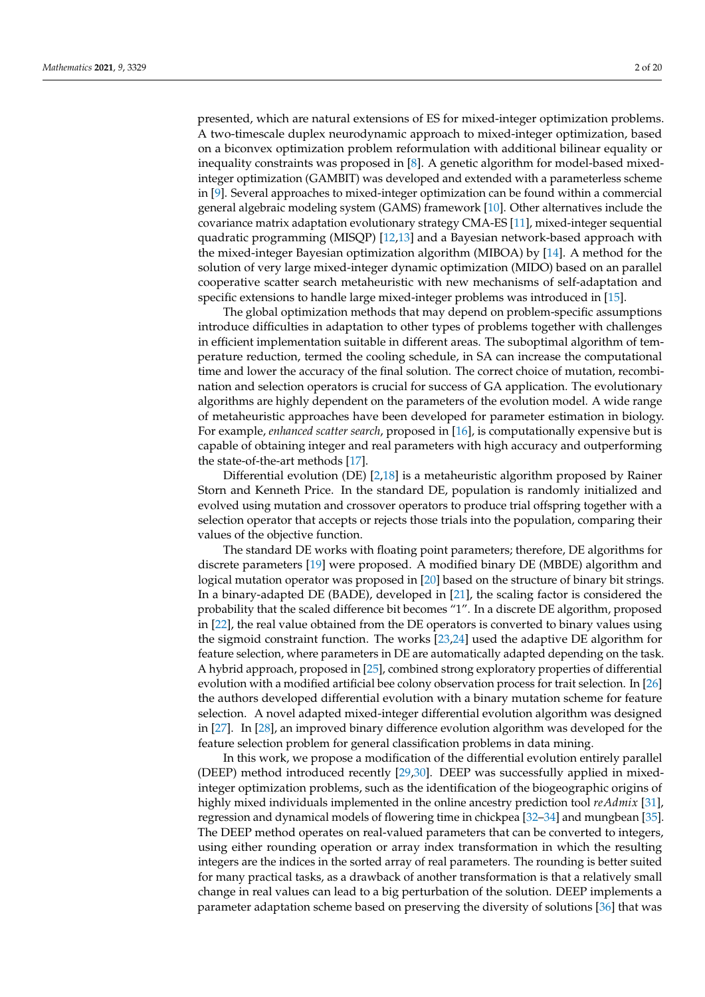presented, which are natural extensions of ES for mixed-integer optimization problems. A two-timescale duplex neurodynamic approach to mixed-integer optimization, based on a biconvex optimization problem reformulation with additional bilinear equality or inequality constraints was proposed in [\[8\]](#page-15-6). A genetic algorithm for model-based mixedinteger optimization (GAMBIT) was developed and extended with a parameterless scheme in [\[9\]](#page-15-7). Several approaches to mixed-integer optimization can be found within a commercial general algebraic modeling system (GAMS) framework [\[10\]](#page-15-8). Other alternatives include the covariance matrix adaptation evolutionary strategy CMA-ES [\[11\]](#page-15-9), mixed-integer sequential quadratic programming (MISQP) [\[12](#page-15-10)[,13\]](#page-15-11) and a Bayesian network-based approach with the mixed-integer Bayesian optimization algorithm (MIBOA) by [\[14\]](#page-15-12). A method for the solution of very large mixed-integer dynamic optimization (MIDO) based on an parallel cooperative scatter search metaheuristic with new mechanisms of self-adaptation and specific extensions to handle large mixed-integer problems was introduced in [\[15\]](#page-15-13).

The global optimization methods that may depend on problem-specific assumptions introduce difficulties in adaptation to other types of problems together with challenges in efficient implementation suitable in different areas. The suboptimal algorithm of temperature reduction, termed the cooling schedule, in SA can increase the computational time and lower the accuracy of the final solution. The correct choice of mutation, recombination and selection operators is crucial for success of GA application. The evolutionary algorithms are highly dependent on the parameters of the evolution model. A wide range of metaheuristic approaches have been developed for parameter estimation in biology. For example, *enhanced scatter search*, proposed in [\[16\]](#page-15-14), is computationally expensive but is capable of obtaining integer and real parameters with high accuracy and outperforming the state-of-the-art methods [\[17\]](#page-15-15).

Differential evolution (DE) [\[2,](#page-15-1)[18\]](#page-15-16) is a metaheuristic algorithm proposed by Rainer Storn and Kenneth Price. In the standard DE, population is randomly initialized and evolved using mutation and crossover operators to produce trial offspring together with a selection operator that accepts or rejects those trials into the population, comparing their values of the objective function.

The standard DE works with floating point parameters; therefore, DE algorithms for discrete parameters [\[19\]](#page-15-17) were proposed. A modified binary DE (MBDE) algorithm and logical mutation operator was proposed in [\[20\]](#page-15-18) based on the structure of binary bit strings. In a binary-adapted DE (BADE), developed in [\[21\]](#page-15-19), the scaling factor is considered the probability that the scaled difference bit becomes "1". In a discrete DE algorithm, proposed in [\[22\]](#page-15-20), the real value obtained from the DE operators is converted to binary values using the sigmoid constraint function. The works [\[23,](#page-16-0)[24\]](#page-16-1) used the adaptive DE algorithm for feature selection, where parameters in DE are automatically adapted depending on the task. A hybrid approach, proposed in [\[25\]](#page-16-2), combined strong exploratory properties of differential evolution with a modified artificial bee colony observation process for trait selection. In [\[26\]](#page-16-3) the authors developed differential evolution with a binary mutation scheme for feature selection. A novel adapted mixed-integer differential evolution algorithm was designed in [\[27\]](#page-16-4). In [\[28\]](#page-16-5), an improved binary difference evolution algorithm was developed for the feature selection problem for general classification problems in data mining.

In this work, we propose a modification of the differential evolution entirely parallel (DEEP) method introduced recently [\[29,](#page-16-6)[30\]](#page-16-7). DEEP was successfully applied in mixedinteger optimization problems, such as the identification of the biogeographic origins of highly mixed individuals implemented in the online ancestry prediction tool *reAdmix* [\[31\]](#page-16-8), regression and dynamical models of flowering time in chickpea [\[32](#page-16-9)[–34\]](#page-16-10) and mungbean [\[35\]](#page-16-11). The DEEP method operates on real-valued parameters that can be converted to integers, using either rounding operation or array index transformation in which the resulting integers are the indices in the sorted array of real parameters. The rounding is better suited for many practical tasks, as a drawback of another transformation is that a relatively small change in real values can lead to a big perturbation of the solution. DEEP implements a parameter adaptation scheme based on preserving the diversity of solutions [\[36\]](#page-16-12) that was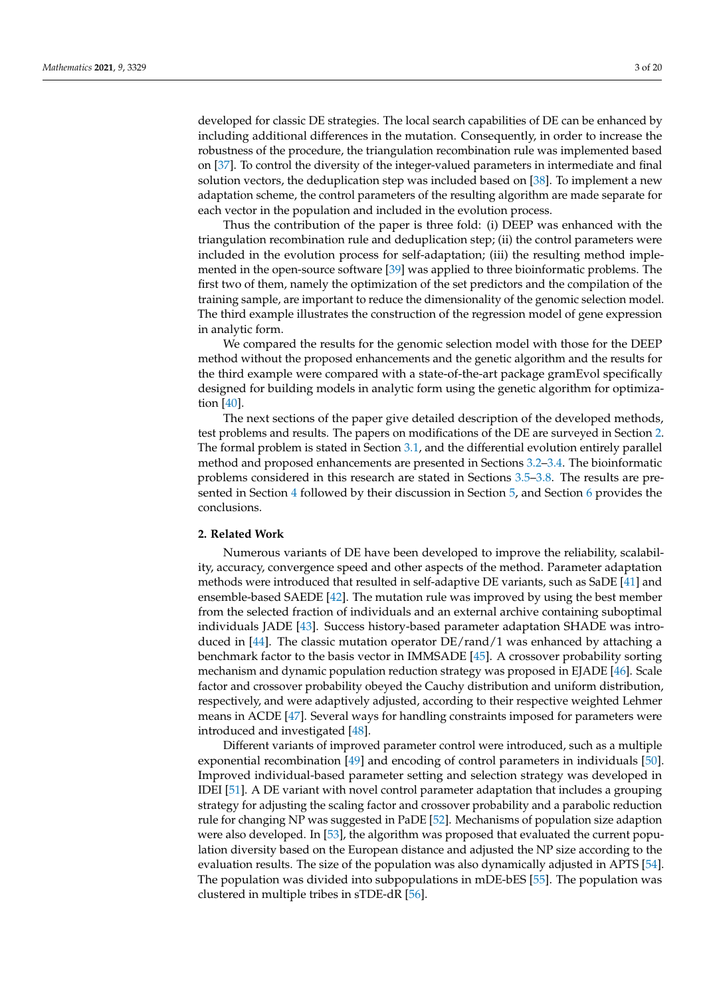developed for classic DE strategies. The local search capabilities of DE can be enhanced by including additional differences in the mutation. Consequently, in order to increase the robustness of the procedure, the triangulation recombination rule was implemented based on [\[37\]](#page-16-13). To control the diversity of the integer-valued parameters in intermediate and final solution vectors, the deduplication step was included based on [\[38\]](#page-16-14). To implement a new adaptation scheme, the control parameters of the resulting algorithm are made separate for

Thus the contribution of the paper is three fold: (i) DEEP was enhanced with the triangulation recombination rule and deduplication step; (ii) the control parameters were included in the evolution process for self-adaptation; (iii) the resulting method implemented in the open-source software [\[39\]](#page-16-15) was applied to three bioinformatic problems. The first two of them, namely the optimization of the set predictors and the compilation of the training sample, are important to reduce the dimensionality of the genomic selection model. The third example illustrates the construction of the regression model of gene expression in analytic form.

each vector in the population and included in the evolution process.

We compared the results for the genomic selection model with those for the DEEP method without the proposed enhancements and the genetic algorithm and the results for the third example were compared with a state-of-the-art package gramEvol specifically designed for building models in analytic form using the genetic algorithm for optimization [\[40\]](#page-16-16).

The next sections of the paper give detailed description of the developed methods, test problems and results. The papers on modifications of the DE are surveyed in Section [2.](#page-2-0) The formal problem is stated in Section [3.1,](#page-3-0) and the differential evolution entirely parallel method and proposed enhancements are presented in Sections [3.2](#page-4-0)[–3.4.](#page-6-0) The bioinformatic problems considered in this research are stated in Sections [3.5–](#page-6-1)[3.8.](#page-7-0) The results are presented in Section [4](#page-8-0) followed by their discussion in Section [5,](#page-13-0) and Section [6](#page-14-0) provides the conclusions.

#### <span id="page-2-0"></span>**2. Related Work**

Numerous variants of DE have been developed to improve the reliability, scalability, accuracy, convergence speed and other aspects of the method. Parameter adaptation methods were introduced that resulted in self-adaptive DE variants, such as SaDE [\[41\]](#page-16-17) and ensemble-based SAEDE [\[42\]](#page-16-18). The mutation rule was improved by using the best member from the selected fraction of individuals and an external archive containing suboptimal individuals JADE [\[43\]](#page-16-19). Success history-based parameter adaptation SHADE was intro-duced in [\[44\]](#page-16-20). The classic mutation operator  $DE/r$  and  $/1$  was enhanced by attaching a benchmark factor to the basis vector in IMMSADE [\[45\]](#page-16-21). A crossover probability sorting mechanism and dynamic population reduction strategy was proposed in EJADE [\[46\]](#page-16-22). Scale factor and crossover probability obeyed the Cauchy distribution and uniform distribution, respectively, and were adaptively adjusted, according to their respective weighted Lehmer means in ACDE [\[47\]](#page-16-23). Several ways for handling constraints imposed for parameters were introduced and investigated [\[48\]](#page-16-24).

Different variants of improved parameter control were introduced, such as a multiple exponential recombination [\[49\]](#page-17-0) and encoding of control parameters in individuals [\[50\]](#page-17-1). Improved individual-based parameter setting and selection strategy was developed in IDEI [\[51\]](#page-17-2). A DE variant with novel control parameter adaptation that includes a grouping strategy for adjusting the scaling factor and crossover probability and a parabolic reduction rule for changing NP was suggested in PaDE [\[52\]](#page-17-3). Mechanisms of population size adaption were also developed. In [\[53\]](#page-17-4), the algorithm was proposed that evaluated the current population diversity based on the European distance and adjusted the NP size according to the evaluation results. The size of the population was also dynamically adjusted in APTS [\[54\]](#page-17-5). The population was divided into subpopulations in mDE-bES [\[55\]](#page-17-6). The population was clustered in multiple tribes in sTDE-dR [\[56\]](#page-17-7).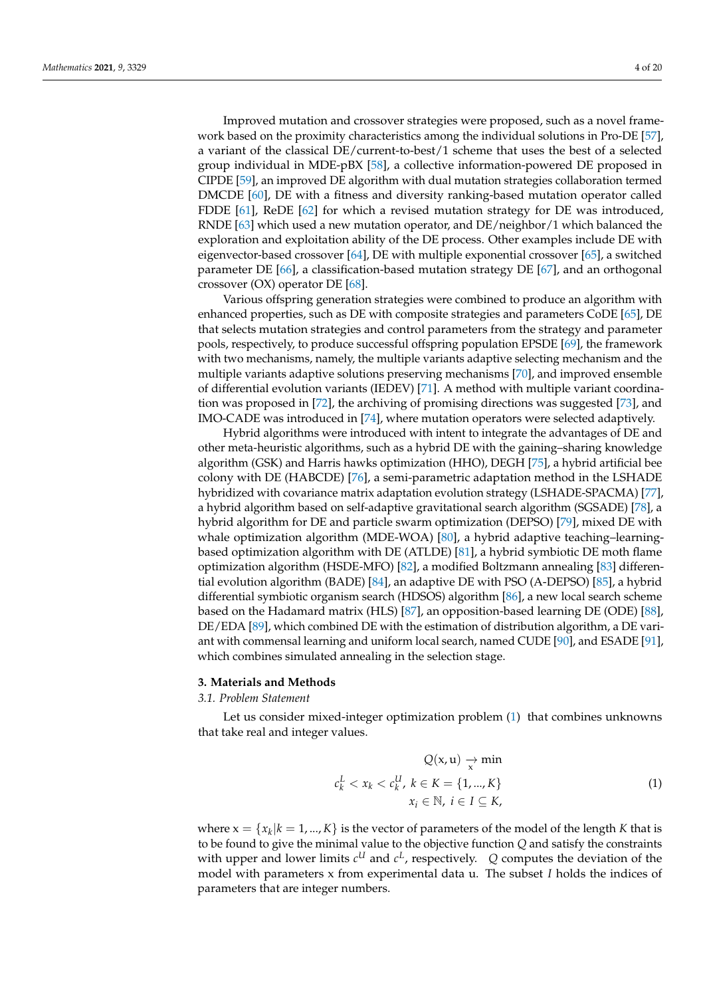Improved mutation and crossover strategies were proposed, such as a novel framework based on the proximity characteristics among the individual solutions in Pro-DE [\[57\]](#page-17-8), a variant of the classical DE/current-to-best/1 scheme that uses the best of a selected group individual in MDE-pBX [\[58\]](#page-17-9), a collective information-powered DE proposed in CIPDE [\[59\]](#page-17-10), an improved DE algorithm with dual mutation strategies collaboration termed DMCDE [\[60\]](#page-17-11), DE with a fitness and diversity ranking-based mutation operator called FDDE [\[61\]](#page-17-12), ReDE [\[62\]](#page-17-13) for which a revised mutation strategy for DE was introduced, RNDE [\[63\]](#page-17-14) which used a new mutation operator, and DE/neighbor/1 which balanced the exploration and exploitation ability of the DE process. Other examples include DE with eigenvector-based crossover [\[64\]](#page-17-15), DE with multiple exponential crossover [\[65\]](#page-17-16), a switched parameter DE [\[66\]](#page-17-17), a classification-based mutation strategy DE [\[67\]](#page-17-18), and an orthogonal crossover (OX) operator DE [\[68\]](#page-17-19).

Various offspring generation strategies were combined to produce an algorithm with enhanced properties, such as DE with composite strategies and parameters CoDE [\[65\]](#page-17-16), DE that selects mutation strategies and control parameters from the strategy and parameter pools, respectively, to produce successful offspring population EPSDE [\[69\]](#page-17-20), the framework with two mechanisms, namely, the multiple variants adaptive selecting mechanism and the multiple variants adaptive solutions preserving mechanisms [\[70\]](#page-17-21), and improved ensemble of differential evolution variants (IEDEV) [\[71\]](#page-17-22). A method with multiple variant coordination was proposed in [\[72\]](#page-17-23), the archiving of promising directions was suggested [\[73\]](#page-17-24), and IMO-CADE was introduced in [\[74\]](#page-17-25), where mutation operators were selected adaptively.

Hybrid algorithms were introduced with intent to integrate the advantages of DE and other meta-heuristic algorithms, such as a hybrid DE with the gaining–sharing knowledge algorithm (GSK) and Harris hawks optimization (HHO), DEGH [\[75\]](#page-17-26), a hybrid artificial bee colony with DE (HABCDE) [\[76\]](#page-18-0), a semi-parametric adaptation method in the LSHADE hybridized with covariance matrix adaptation evolution strategy (LSHADE-SPACMA) [\[77\]](#page-18-1), a hybrid algorithm based on self-adaptive gravitational search algorithm (SGSADE) [\[78\]](#page-18-2), a hybrid algorithm for DE and particle swarm optimization (DEPSO) [\[79\]](#page-18-3), mixed DE with whale optimization algorithm (MDE-WOA) [\[80\]](#page-18-4), a hybrid adaptive teaching–learningbased optimization algorithm with DE (ATLDE) [\[81\]](#page-18-5), a hybrid symbiotic DE moth flame optimization algorithm (HSDE-MFO) [\[82\]](#page-18-6), a modified Boltzmann annealing [\[83\]](#page-18-7) differential evolution algorithm (BADE) [\[84\]](#page-18-8), an adaptive DE with PSO (A-DEPSO) [\[85\]](#page-18-9), a hybrid differential symbiotic organism search (HDSOS) algorithm [\[86\]](#page-18-10), a new local search scheme based on the Hadamard matrix (HLS) [\[87\]](#page-18-11), an opposition-based learning DE (ODE) [\[88\]](#page-18-12), DE/EDA [\[89\]](#page-18-13), which combined DE with the estimation of distribution algorithm, a DE variant with commensal learning and uniform local search, named CUDE [\[90\]](#page-18-14), and ESADE [\[91\]](#page-18-15), which combines simulated annealing in the selection stage.

#### **3. Materials and Methods**

## <span id="page-3-0"></span>*3.1. Problem Statement*

Let us consider mixed-integer optimization problem [\(1\)](#page-3-1) that combines unknowns that take real and integer values.

<span id="page-3-1"></span>
$$
Q(x, u) \underset{x}{\rightarrow} \min
$$
  

$$
c_k^L < x_k < c_k^U, \ k \in K = \{1, ..., K\}
$$
  

$$
x_i \in \mathbb{N}, \ i \in I \subseteq K,
$$
 (1)

where  $x = \{x_k | k = 1, ..., K\}$  is the vector of parameters of the model of the length *K* that is to be found to give the minimal value to the objective function *Q* and satisfy the constraints with upper and lower limits  $c^U$  and  $c^L$ , respectively.  $\ Q$  computes the deviation of the model with parameters x from experimental data u. The subset *I* holds the indices of parameters that are integer numbers.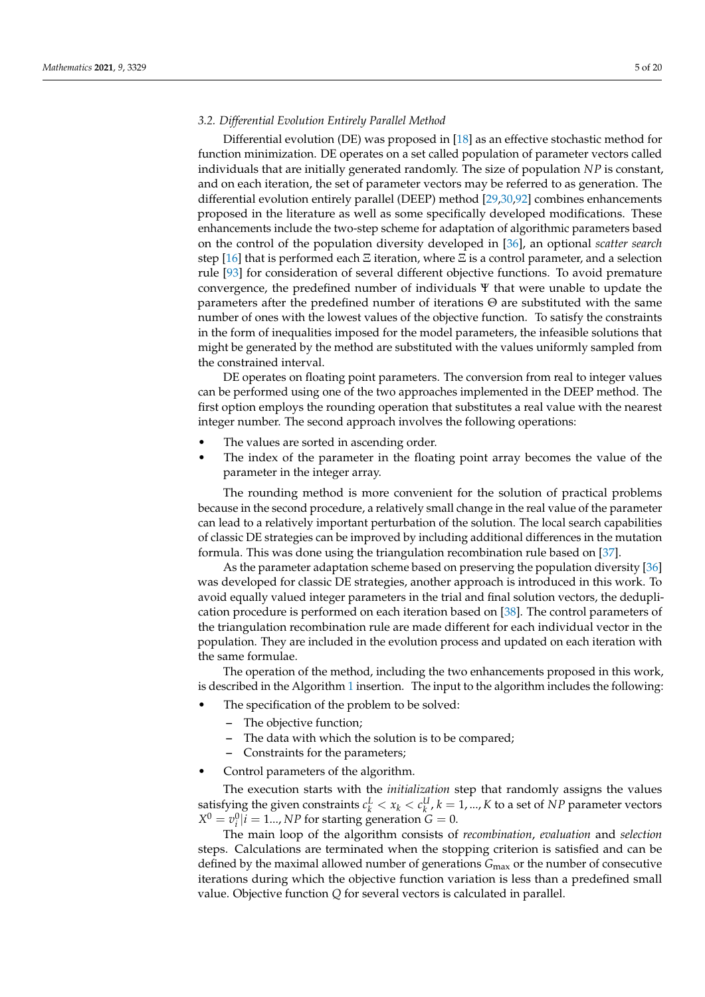## <span id="page-4-0"></span>*3.2. Differential Evolution Entirely Parallel Method*

Differential evolution (DE) was proposed in [\[18\]](#page-15-16) as an effective stochastic method for function minimization. DE operates on a set called population of parameter vectors called individuals that are initially generated randomly. The size of population *NP* is constant, and on each iteration, the set of parameter vectors may be referred to as generation. The differential evolution entirely parallel (DEEP) method [\[29,](#page-16-6)[30,](#page-16-7)[92\]](#page-18-16) combines enhancements proposed in the literature as well as some specifically developed modifications. These enhancements include the two-step scheme for adaptation of algorithmic parameters based on the control of the population diversity developed in [\[36\]](#page-16-12), an optional *scatter search* step [\[16\]](#page-15-14) that is performed each  $\Xi$  iteration, where  $\Xi$  is a control parameter, and a selection rule [\[93\]](#page-18-17) for consideration of several different objective functions. To avoid premature convergence, the predefined number of individuals Ψ that were unable to update the parameters after the predefined number of iterations  $\Theta$  are substituted with the same number of ones with the lowest values of the objective function. To satisfy the constraints in the form of inequalities imposed for the model parameters, the infeasible solutions that might be generated by the method are substituted with the values uniformly sampled from the constrained interval.

DE operates on floating point parameters. The conversion from real to integer values can be performed using one of the two approaches implemented in the DEEP method. The first option employs the rounding operation that substitutes a real value with the nearest integer number. The second approach involves the following operations:

- The values are sorted in ascending order.
- The index of the parameter in the floating point array becomes the value of the parameter in the integer array.

The rounding method is more convenient for the solution of practical problems because in the second procedure, a relatively small change in the real value of the parameter can lead to a relatively important perturbation of the solution. The local search capabilities of classic DE strategies can be improved by including additional differences in the mutation formula. This was done using the triangulation recombination rule based on [\[37\]](#page-16-13).

As the parameter adaptation scheme based on preserving the population diversity [\[36\]](#page-16-12) was developed for classic DE strategies, another approach is introduced in this work. To avoid equally valued integer parameters in the trial and final solution vectors, the deduplication procedure is performed on each iteration based on [\[38\]](#page-16-14). The control parameters of the triangulation recombination rule are made different for each individual vector in the population. They are included in the evolution process and updated on each iteration with the same formulae.

The operation of the method, including the two enhancements proposed in this work, is described in the Algorithm [1](#page-5-0) insertion. The input to the algorithm includes the following:

- The specification of the problem to be solved:
	- **–** The objective function;
	- **–** The data with which the solution is to be compared;
	- **–** Constraints for the parameters;
- Control parameters of the algorithm.

The execution starts with the *initialization* step that randomly assigns the values satisfying the given constraints  $c_k^L < x_k < c_k^U$ ,  $k = 1, ..., K$  to a set of *NP* parameter vectors  $X^0 = v_i^0|i = 1...$ , *NP* for starting generation  $G = 0$ .

The main loop of the algorithm consists of *recombination*, *evaluation* and *selection* steps. Calculations are terminated when the stopping criterion is satisfied and can be defined by the maximal allowed number of generations *G*max or the number of consecutive iterations during which the objective function variation is less than a predefined small value. Objective function *Q* for several vectors is calculated in parallel.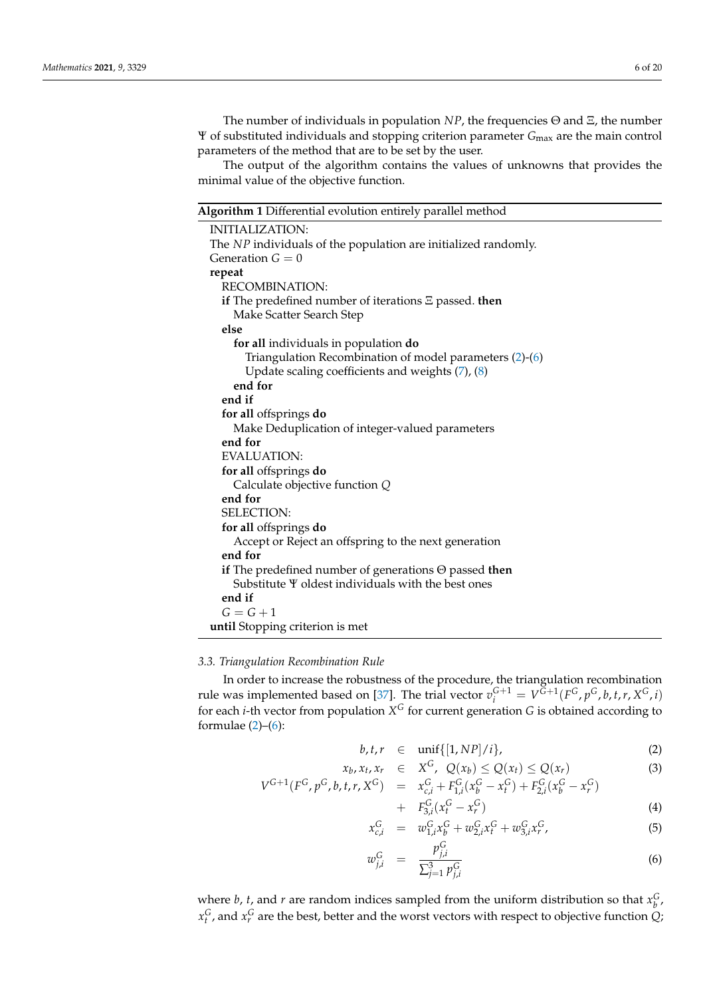The number of individuals in population *NP*, the frequencies Θ and Ξ, the number Ψ of substituted individuals and stopping criterion parameter *G*max are the main control parameters of the method that are to be set by the user.

The output of the algorithm contains the values of unknowns that provides the minimal value of the objective function.

<span id="page-5-0"></span>**Algorithm 1** Differential evolution entirely parallel method

| <b>INITIALIZATION:</b>                                         |
|----------------------------------------------------------------|
| The NP individuals of the population are initialized randomly. |
| Generation $G = 0$                                             |
| repeat                                                         |
| <b>RECOMBINATION:</b>                                          |
| if The predefined number of iterations $\Xi$ passed. then      |
| Make Scatter Search Step                                       |
| else                                                           |
| for all individuals in population do                           |
| Triangulation Recombination of model parameters $(2)-(6)$      |
| Update scaling coefficients and weights (7), (8)               |
| end for                                                        |
| end if                                                         |
| for all offsprings do                                          |
| Make Deduplication of integer-valued parameters                |
| end for                                                        |
| <b>EVALUATION:</b>                                             |
| for all offsprings do                                          |
| Calculate objective function Q                                 |
| end for                                                        |
| <b>SELECTION:</b>                                              |
| for all offsprings do                                          |
| Accept or Reject an offspring to the next generation           |
| end for                                                        |
| if The predefined number of generations $\Theta$ passed then   |
| Substitute Y oldest individuals with the best ones             |
| end if                                                         |
| $G=G+1$                                                        |
| until Stopping criterion is met                                |

#### *3.3. Triangulation Recombination Rule*

In order to increase the robustness of the procedure, the triangulation recombination rule was implemented based on [\[37\]](#page-16-13). The trial vector  $v_i^{G+1} = V^{\tilde{G}+1}(F^G, p^G, b, t, r, X^G, i)$ for each *i*-th vector from population *X <sup>G</sup>* for current generation *G* is obtained according to formulae  $(2)-(6)$  $(2)-(6)$  $(2)-(6)$ :

<span id="page-5-1"></span>
$$
b, t, r \in \text{unif}\{[1, NP]/i\},\tag{2}
$$

$$
x_b, x_t, x_r \in X^G, Q(x_b) \le Q(x_t) \le Q(x_r)
$$
  
\n
$$
V^{G+1}(F^G, p^G, b, t, r, X^G) = x_{c,i}^G + F_{1,i}^G(x_b^G - x_t^G) + F_{2,i}^G(x_b^G - x_r^G)
$$
\n(3)

$$
+ F_{3,i}^G(x_t^G - x_r^G) \tag{4}
$$

$$
x_{c,i}^G = w_{1,i}^G x_b^G + w_{2,i}^G x_t^G + w_{3,i}^G x_r^G,
$$
\n(5)

$$
w_{j,i}^G = \frac{p_{j,i}^G}{\sum_{j=1}^3 p_{j,i}^G}
$$
 (6)

where *b*, *t*, and *r* are random indices sampled from the uniform distribution so that  $x_b^G$ ,  $x_t^G$ , and  $x_r^G$  are the best, better and the worst vectors with respect to objective function  $Q$ ;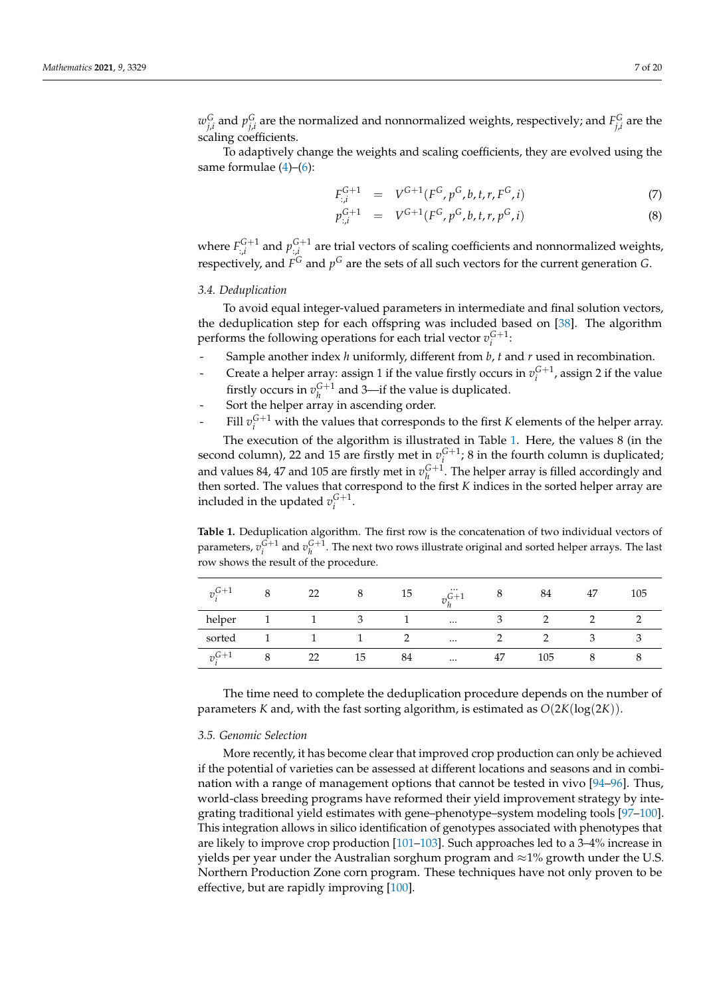$w_{j,i}^G$  and  $p_{j,i}^G$  are the normalized and nonnormalized weights, respectively; and  $F_{j,i}^G$  are the scaling coefficients.

To adaptively change the weights and scaling coefficients, they are evolved using the same formulae  $(4)$ – $(6)$ :

<span id="page-6-2"></span>
$$
F_{:,i}^{G+1} = V^{G+1}(F^G, p^G, b, t, r, F^G, i)
$$
\n(7)

$$
p_{:,i}^{G+1} = V^{G+1}(F^G, p^G, b, t, r, p^G, i)
$$
\n(8)

where  $F_{:,i}^{G+1}$  and  $p_{:,i}^{G+1}$  are trial vectors of scaling coefficients and nonnormalized weights, respectively, and  $F^G$  and  $p^G$  are the sets of all such vectors for the current generation  $G$ .

## <span id="page-6-0"></span>*3.4. Deduplication*

To avoid equal integer-valued parameters in intermediate and final solution vectors, the deduplication step for each offspring was included based on [\[38\]](#page-16-14). The algorithm performs the following operations for each trial vector  $v_i^{G+1}$ .

- Sample another index *h* uniformly, different from *b*, *t* and *r* used in recombination.
- Create a helper array: assign 1 if the value firstly occurs in  $v_i^{G+1}$ , assign 2 if the value firstly occurs in  $v_h^{G+1}$  and 3—if the value is duplicated.
- Sort the helper array in ascending order.
- Fill  $v_i^{G+1}$  with the values that corresponds to the first *K* elements of the helper array.

The execution of the algorithm is illustrated in Table [1.](#page-6-3) Here, the values 8 (in the second column), 22 and 15 are firstly met in  $v_i^{G+1}$ ; 8 in the fourth column is duplicated; *i* and values 84, 47 and 105 are firstly met in  $v_h^{G+1}$ . The helper array is filled accordingly and then sorted. The values that correspond to the first *K* indices in the sorted helper array are included in the updated  $v_i^{G+1}$ .

<span id="page-6-3"></span>**Table 1.** Deduplication algorithm. The first row is the concatenation of two individual vectors of parameters,  $v_i^{G+1}$  and  $v_h^{G+1}$ . The next two rows illustrate original and sorted helper arrays. The last row shows the result of the procedure.

| $v_i^{G+1}$ | 22 |    | 15 | $\cdots$<br>$7.6 + 1$ |    | 84  | 47 | 105 |
|-------------|----|----|----|-----------------------|----|-----|----|-----|
| helper      |    |    |    | $\cdots$              |    |     |    |     |
| sorted      |    |    |    | $\cdots$              |    |     |    |     |
| $v^{G+1}$   | 22 | 15 | 84 | $\cdots$              | 47 | 105 |    |     |

The time need to complete the deduplication procedure depends on the number of parameters *K* and, with the fast sorting algorithm, is estimated as  $O(2K(\log(2K)))$ .

## <span id="page-6-1"></span>*3.5. Genomic Selection*

More recently, it has become clear that improved crop production can only be achieved if the potential of varieties can be assessed at different locations and seasons and in combination with a range of management options that cannot be tested in vivo [\[94–](#page-18-18)[96\]](#page-18-19). Thus, world-class breeding programs have reformed their yield improvement strategy by integrating traditional yield estimates with gene–phenotype–system modeling tools [\[97](#page-18-20)[–100\]](#page-18-21). This integration allows in silico identification of genotypes associated with phenotypes that are likely to improve crop production [\[101–](#page-19-0)[103\]](#page-19-1). Such approaches led to a 3–4% increase in yields per year under the Australian sorghum program and  $\approx$ 1% growth under the U.S. Northern Production Zone corn program. These techniques have not only proven to be effective, but are rapidly improving [\[100\]](#page-18-21).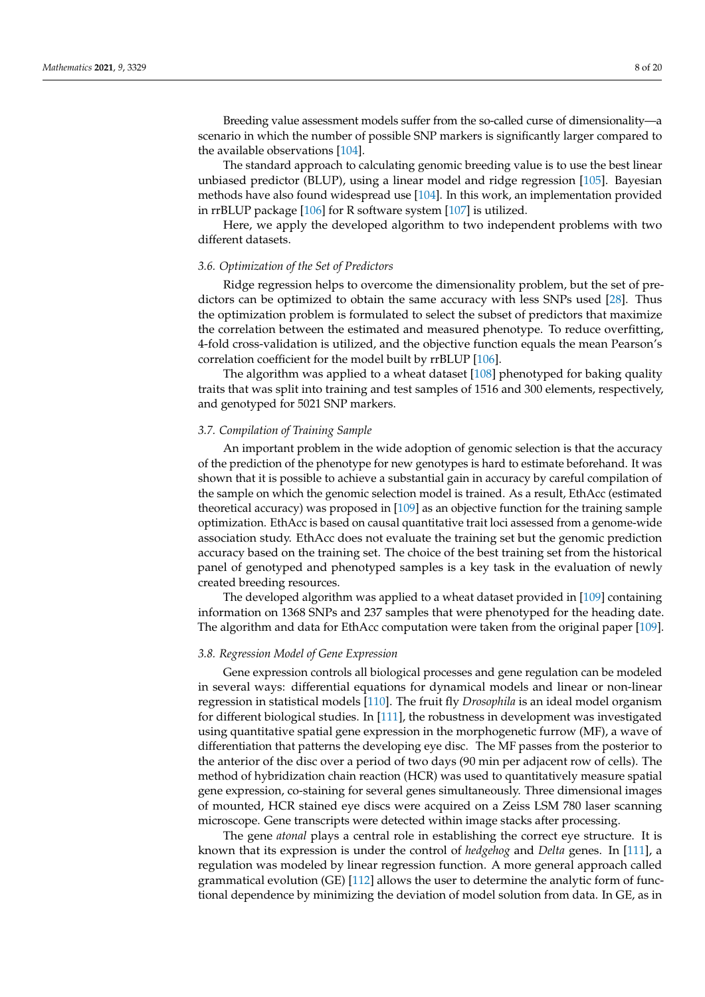Breeding value assessment models suffer from the so-called curse of dimensionality—a scenario in which the number of possible SNP markers is significantly larger compared to the available observations [\[104\]](#page-19-2).

The standard approach to calculating genomic breeding value is to use the best linear unbiased predictor (BLUP), using a linear model and ridge regression [\[105\]](#page-19-3). Bayesian methods have also found widespread use [\[104\]](#page-19-2). In this work, an implementation provided in rrBLUP package [\[106\]](#page-19-4) for R software system [\[107\]](#page-19-5) is utilized.

Here, we apply the developed algorithm to two independent problems with two different datasets.

## <span id="page-7-1"></span>*3.6. Optimization of the Set of Predictors*

Ridge regression helps to overcome the dimensionality problem, but the set of predictors can be optimized to obtain the same accuracy with less SNPs used [\[28\]](#page-16-5). Thus the optimization problem is formulated to select the subset of predictors that maximize the correlation between the estimated and measured phenotype. To reduce overfitting, 4-fold cross-validation is utilized, and the objective function equals the mean Pearson's correlation coefficient for the model built by rrBLUP [\[106\]](#page-19-4).

The algorithm was applied to a wheat dataset [\[108\]](#page-19-6) phenotyped for baking quality traits that was split into training and test samples of 1516 and 300 elements, respectively, and genotyped for 5021 SNP markers.

#### *3.7. Compilation of Training Sample*

An important problem in the wide adoption of genomic selection is that the accuracy of the prediction of the phenotype for new genotypes is hard to estimate beforehand. It was shown that it is possible to achieve a substantial gain in accuracy by careful compilation of the sample on which the genomic selection model is trained. As a result, EthAcc (estimated theoretical accuracy) was proposed in [\[109\]](#page-19-7) as an objective function for the training sample optimization. EthAcc is based on causal quantitative trait loci assessed from a genome-wide association study. EthAcc does not evaluate the training set but the genomic prediction accuracy based on the training set. The choice of the best training set from the historical panel of genotyped and phenotyped samples is a key task in the evaluation of newly created breeding resources.

The developed algorithm was applied to a wheat dataset provided in [\[109\]](#page-19-7) containing information on 1368 SNPs and 237 samples that were phenotyped for the heading date. The algorithm and data for EthAcc computation were taken from the original paper [\[109\]](#page-19-7).

## <span id="page-7-0"></span>*3.8. Regression Model of Gene Expression*

Gene expression controls all biological processes and gene regulation can be modeled in several ways: differential equations for dynamical models and linear or non-linear regression in statistical models [\[110\]](#page-19-8). The fruit fly *Drosophila* is an ideal model organism for different biological studies. In [\[111\]](#page-19-9), the robustness in development was investigated using quantitative spatial gene expression in the morphogenetic furrow (MF), a wave of differentiation that patterns the developing eye disc. The MF passes from the posterior to the anterior of the disc over a period of two days (90 min per adjacent row of cells). The method of hybridization chain reaction (HCR) was used to quantitatively measure spatial gene expression, co-staining for several genes simultaneously. Three dimensional images of mounted, HCR stained eye discs were acquired on a Zeiss LSM 780 laser scanning microscope. Gene transcripts were detected within image stacks after processing.

The gene *atonal* plays a central role in establishing the correct eye structure. It is known that its expression is under the control of *hedgehog* and *Delta* genes. In [\[111\]](#page-19-9), a regulation was modeled by linear regression function. A more general approach called grammatical evolution (GE) [\[112\]](#page-19-10) allows the user to determine the analytic form of functional dependence by minimizing the deviation of model solution from data. In GE, as in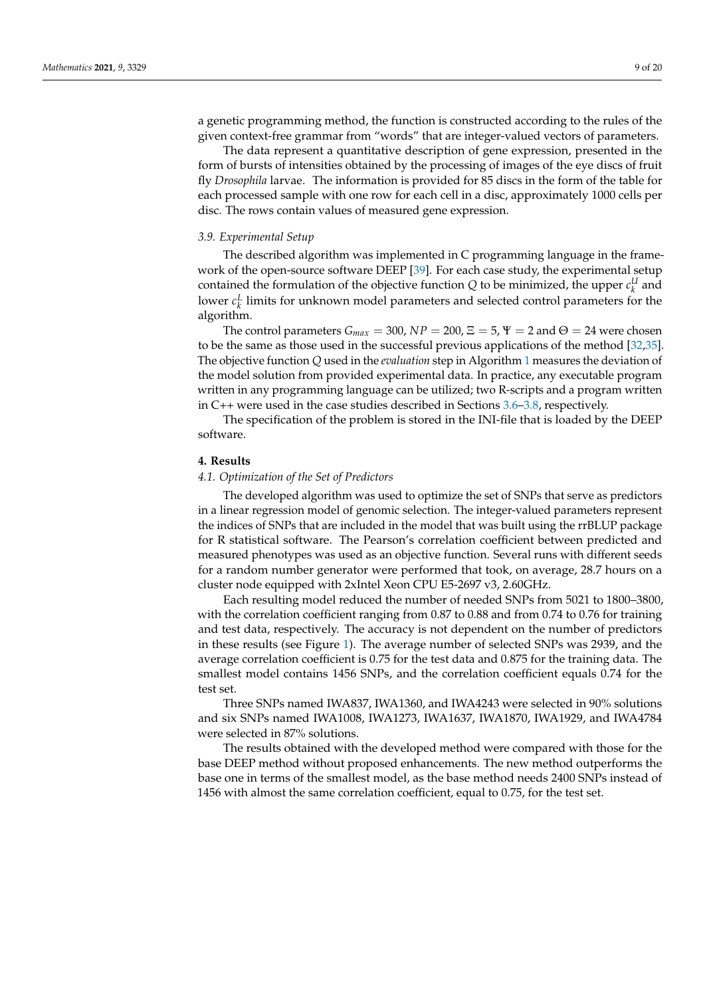a genetic programming method, the function is constructed according to the rules of the given context-free grammar from "words" that are integer-valued vectors of parameters.

The data represent a quantitative description of gene expression, presented in the form of bursts of intensities obtained by the processing of images of the eye discs of fruit fly *Drosophila* larvae. The information is provided for 85 discs in the form of the table for each processed sample with one row for each cell in a disc, approximately 1000 cells per disc. The rows contain values of measured gene expression.

#### *3.9. Experimental Setup*

The described algorithm was implemented in C programming language in the framework of the open-source software DEEP [\[39\]](#page-16-15). For each case study, the experimental setup contained the formulation of the objective function  $Q$  to be minimized, the upper  $c_k^U$  and lower  $c_k^L$  limits for unknown model parameters and selected control parameters for the algorithm.

The control parameters  $G_{max} = 300$ ,  $NP = 200$ ,  $\Xi = 5$ ,  $\Psi = 2$  and  $\Theta = 24$  were chosen to be the same as those used in the successful previous applications of the method [\[32](#page-16-9)[,35\]](#page-16-11). The objective function *Q* used in the *evaluation* step in Algorithm [1](#page-5-0) measures the deviation of the model solution from provided experimental data. In practice, any executable program written in any programming language can be utilized; two R-scripts and a program written in C++ were used in the case studies described in Sections [3.6](#page-7-1)[–3.8,](#page-7-0) respectively.

The specification of the problem is stored in the INI-file that is loaded by the DEEP software.

## <span id="page-8-0"></span>**4. Results**

#### *4.1. Optimization of the Set of Predictors*

The developed algorithm was used to optimize the set of SNPs that serve as predictors in a linear regression model of genomic selection. The integer-valued parameters represent the indices of SNPs that are included in the model that was built using the rrBLUP package for R statistical software. The Pearson's correlation coefficient between predicted and measured phenotypes was used as an objective function. Several runs with different seeds for a random number generator were performed that took, on average, 28.7 hours on a cluster node equipped with 2xIntel Xeon CPU E5-2697 v3, 2.60GHz.

Each resulting model reduced the number of needed SNPs from 5021 to 1800–3800, with the correlation coefficient ranging from 0.87 to 0.88 and from 0.74 to 0.76 for training and test data, respectively. The accuracy is not dependent on the number of predictors in these results (see Figure [1\)](#page-9-0). The average number of selected SNPs was 2939, and the average correlation coefficient is 0.75 for the test data and 0.875 for the training data. The smallest model contains 1456 SNPs, and the correlation coefficient equals 0.74 for the test set.

Three SNPs named IWA837, IWA1360, and IWA4243 were selected in 90% solutions and six SNPs named IWA1008, IWA1273, IWA1637, IWA1870, IWA1929, and IWA4784 were selected in 87% solutions.

The results obtained with the developed method were compared with those for the base DEEP method without proposed enhancements. The new method outperforms the base one in terms of the smallest model, as the base method needs 2400 SNPs instead of 1456 with almost the same correlation coefficient, equal to 0.75, for the test set.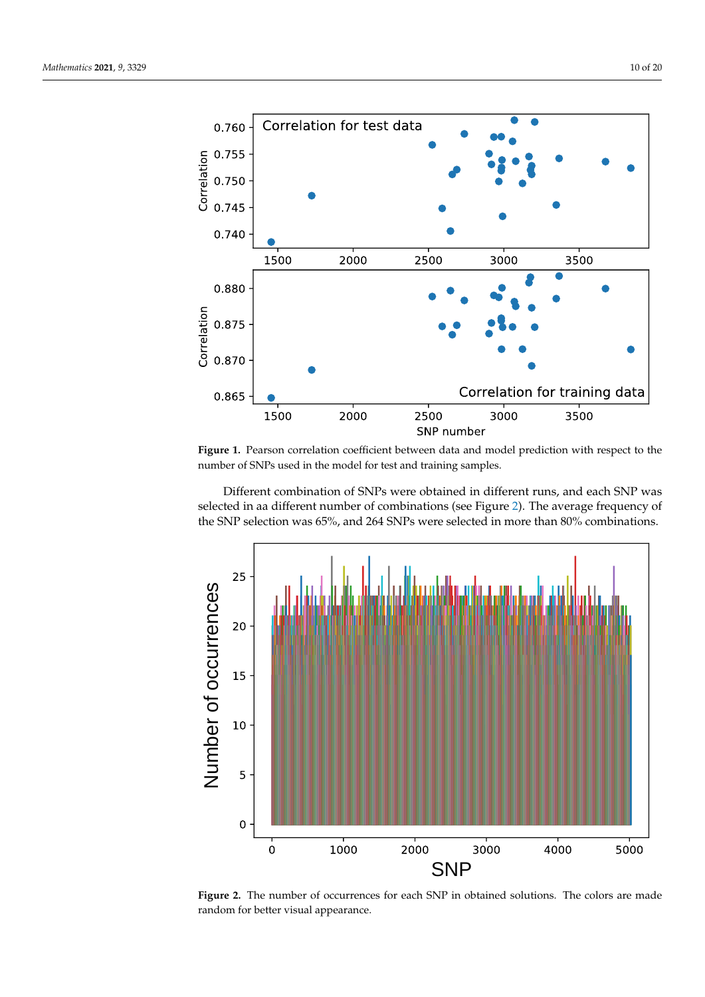<span id="page-9-0"></span>

**Figure 1.** Pearson correlation coefficient between data and model prediction with respect to the number of SNPs used in the model for test and training samples.

Different combination of SNPs were obtained in different runs, and each SNP was selected in aa different number of combinations (see Figure [2\)](#page-9-1). The average frequency of the SNP selection was 65%, and 264 SNPs were selected in more than 80% combinations.

<span id="page-9-1"></span>

**Figure 2.** The number of occurrences for each SNP in obtained solutions. The colors are made random for better visual appearance.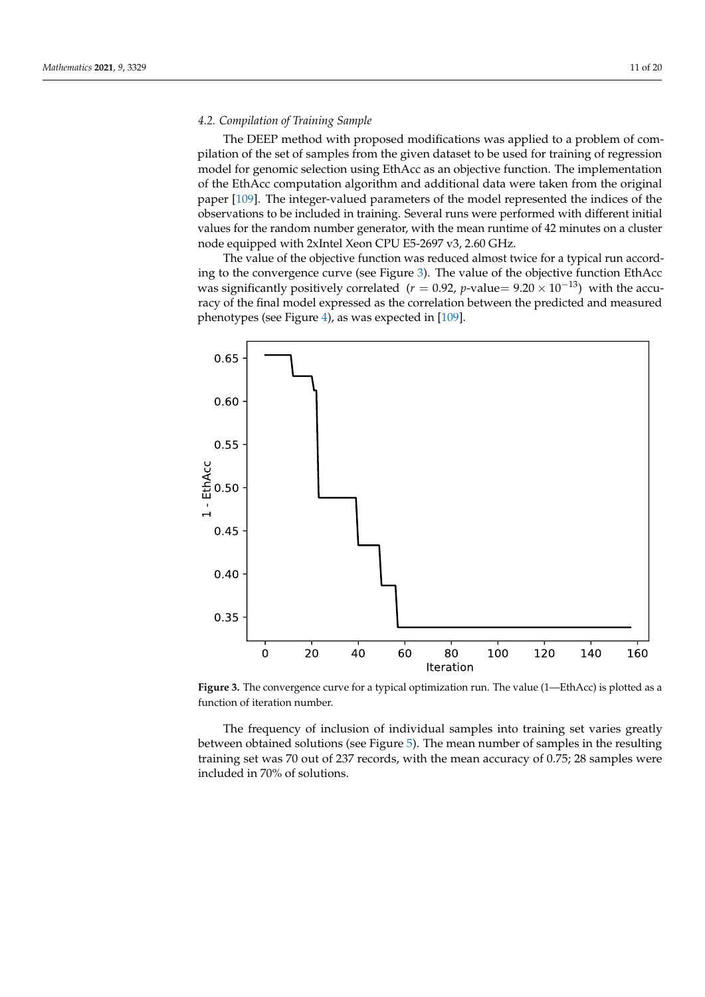## *4.2. Compilation of Training Sample*

The DEEP method with proposed modifications was applied to a problem of compilation of the set of samples from the given dataset to be used for training of regression model for genomic selection using EthAcc as an objective function. The implementation of the EthAcc computation algorithm and additional data were taken from the original paper [\[109\]](#page-19-7). The integer-valued parameters of the model represented the indices of the observations to be included in training. Several runs were performed with different initial values for the random number generator, with the mean runtime of 42 minutes on a cluster node equipped with 2xIntel Xeon CPU E5-2697 v3, 2.60 GHz.

The value of the objective function was reduced almost twice for a typical run according to the convergence curve (see Figure [3\)](#page-10-0). The value of the objective function EthAcc was significantly positively correlated ( $r = 0.92$ , *p*-value=  $9.20 \times 10^{-13}$ ) with the accuracy of the final model expressed as the correlation between the predicted and measured phenotypes (see Figure [4\)](#page-11-0), as was expected in [\[109\]](#page-19-7).

<span id="page-10-0"></span>

**Figure 3.** The convergence curve for a typical optimization run. The value (1—EthAcc) is plotted as a function of iteration number.

The frequency of inclusion of individual samples into training set varies greatly between obtained solutions (see Figure [5\)](#page-11-1). The mean number of samples in the resulting training set was 70 out of 237 records, with the mean accuracy of 0.75; 28 samples were included in 70% of solutions.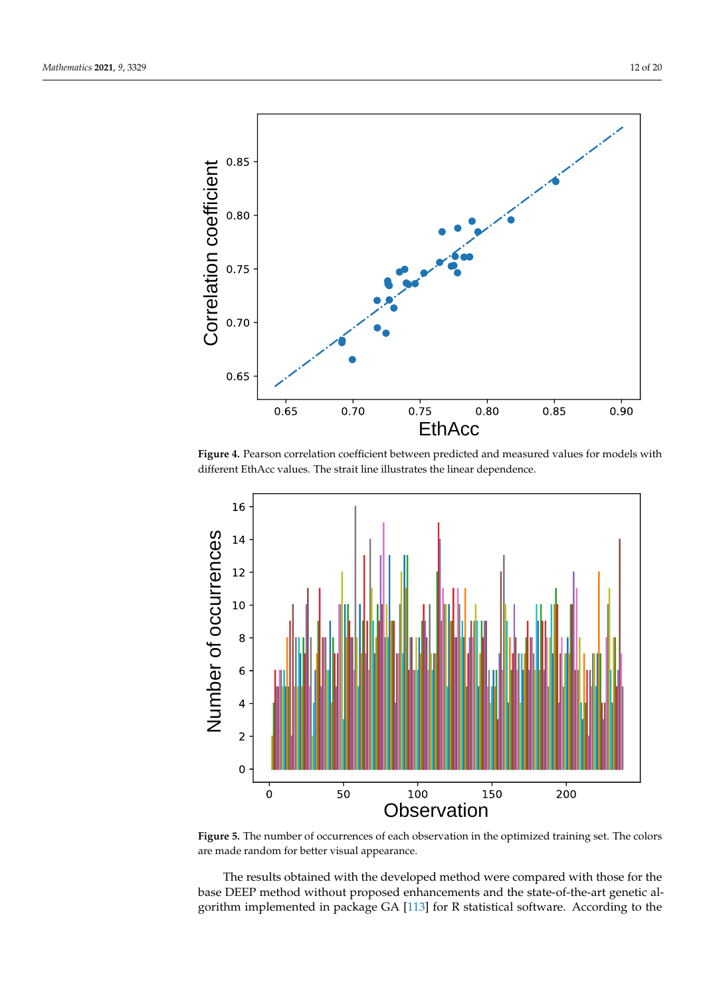<span id="page-11-0"></span>

**Figure 4.** Pearson correlation coefficient between predicted and measured values for models with different EthAcc values. The strait line illustrates the linear dependence.

<span id="page-11-1"></span>

**Figure 5.** The number of occurrences of each observation in the optimized training set. The colors are made random for better visual appearance.

The results obtained with the developed method were compared with those for the base DEEP method without proposed enhancements and the state-of-the-art genetic algorithm implemented in package GA [\[113\]](#page-19-11) for R statistical software. According to the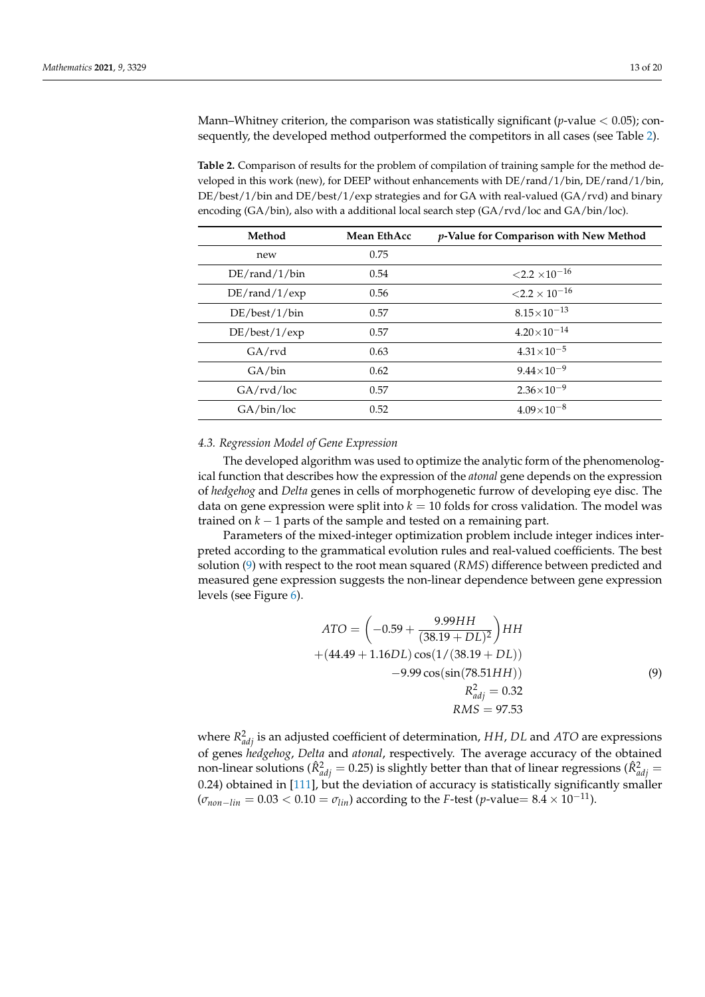Mann–Whitney criterion, the comparison was statistically significant (*p*-value < 0.05); consequently, the developed method outperformed the competitors in all cases (see Table [2\)](#page-12-0).

<span id="page-12-0"></span>**Table 2.** Comparison of results for the problem of compilation of training sample for the method developed in this work (new), for DEEP without enhancements with DE/rand/1/bin, DE/rand/1/bin, DE/best/1/bin and DE/best/1/exp strategies and for GA with real-valued (GA/rvd) and binary encoding (GA/bin), also with a additional local search step (GA/rvd/loc and GA/bin/loc).

| Method              | Mean EthAcc | p-Value for Comparison with New Method |
|---------------------|-------------|----------------------------------------|
| new                 | 0.75        |                                        |
| $DE/r$ and/1/bin    | 0.54        | ${<}2.2 \times 10^{-16}$               |
| $DE/r$ and/ $1/exp$ | 0.56        | ${<}2.2\times10^{-16}$                 |
| DE/best/1/bin       | 0.57        | $8.15\times10^{-13}$                   |
| DE/best/1/exp       | 0.57        | $4.20\times10^{-14}$                   |
| GA/rvd              | 0.63        | $4.31 \times 10^{-5}$                  |
| GA/bin              | 0.62        | $9.44\times10^{-9}$                    |
| GA/rvd/loc          | 0.57        | $2.36 \times 10^{-9}$                  |
| GA/bin/loc          | 0.52        | $4.09\times10^{-8}$                    |

## *4.3. Regression Model of Gene Expression*

The developed algorithm was used to optimize the analytic form of the phenomenological function that describes how the expression of the *atonal* gene depends on the expression of *hedgehog* and *Delta* genes in cells of morphogenetic furrow of developing eye disc. The data on gene expression were split into  $k = 10$  folds for cross validation. The model was trained on *k* − 1 parts of the sample and tested on a remaining part.

Parameters of the mixed-integer optimization problem include integer indices interpreted according to the grammatical evolution rules and real-valued coefficients. The best solution [\(9\)](#page-12-1) with respect to the root mean squared (*RMS*) difference between predicted and measured gene expression suggests the non-linear dependence between gene expression levels (see Figure [6\)](#page-13-1).

<span id="page-12-1"></span>
$$
ATO = \left(-0.59 + \frac{9.99HH}{(38.19 + DL)^2}\right)HH
$$
  
+  $(44.49 + 1.16DL) \cos(1/(38.19 + DL))$   
-9.99 cos(sin(78.51HH))  
 $R_{adj}^2 = 0.32$   
RMS = 97.53

where  $R^2_{adj}$  is an adjusted coefficient of determination, HH, DL and ATO are expressions of genes *hedgehog*, *Delta* and *atonal*, respectively. The average accuracy of the obtained non-linear solutions ( $\hat{R}^2_{adj} = 0.25$ ) is slightly better than that of linear regressions ( $\hat{R}^2_{adj} =$ 0.24) obtained in [\[111\]](#page-19-9), but the deviation of accuracy is statistically significantly smaller  $(\sigma_{non-lin} = 0.03 < 0.10 = \sigma_{lin})$  according to the *F*-test (*p*-value= 8.4 × 10<sup>-11</sup>).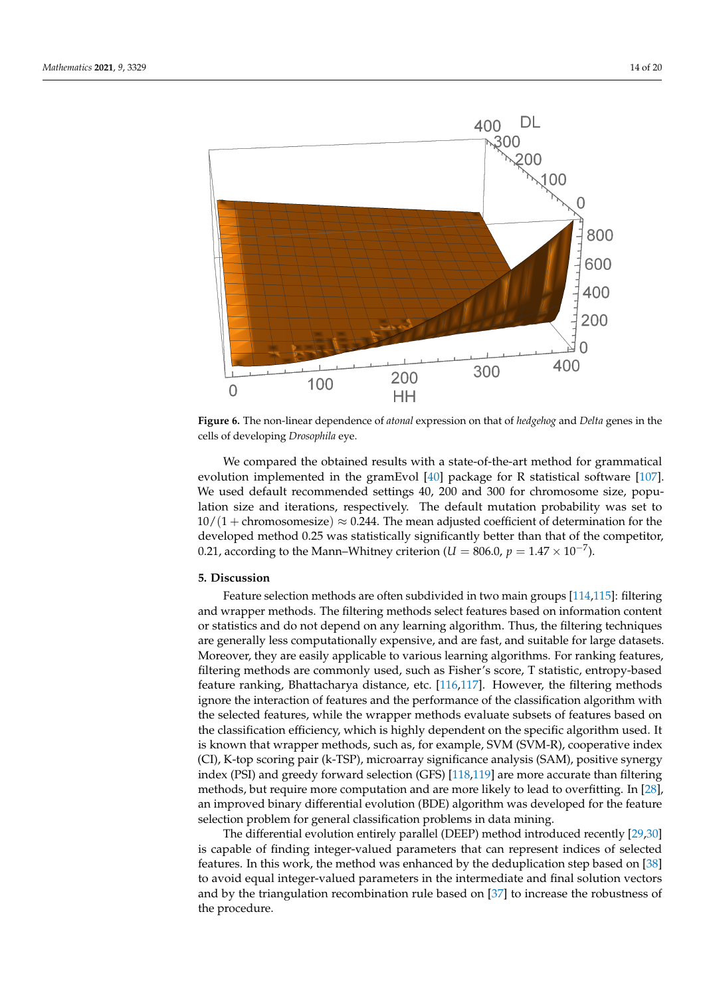<span id="page-13-1"></span>

**Figure 6.** The non-linear dependence of *atonal* expression on that of *hedgehog* and *Delta* genes in the cells of developing *Drosophila* eye.

We compared the obtained results with a state-of-the-art method for grammatical evolution implemented in the gramEvol [\[40\]](#page-16-16) package for R statistical software [\[107\]](#page-19-5). We used default recommended settings 40, 200 and 300 for chromosome size, population size and iterations, respectively. The default mutation probability was set to  $10/(1 + \text{chromosomesize}) \approx 0.244$ . The mean adjusted coefficient of determination for the developed method 0.25 was statistically significantly better than that of the competitor, 0.21, according to the Mann–Whitney criterion ( $U = 806.0$ ,  $p = 1.47 \times 10^{-7}$ ).

## <span id="page-13-0"></span>**5. Discussion**

Feature selection methods are often subdivided in two main groups [\[114](#page-19-12)[,115\]](#page-19-13): filtering and wrapper methods. The filtering methods select features based on information content or statistics and do not depend on any learning algorithm. Thus, the filtering techniques are generally less computationally expensive, and are fast, and suitable for large datasets. Moreover, they are easily applicable to various learning algorithms. For ranking features, filtering methods are commonly used, such as Fisher's score, T statistic, entropy-based feature ranking, Bhattacharya distance, etc. [\[116,](#page-19-14)[117\]](#page-19-15). However, the filtering methods ignore the interaction of features and the performance of the classification algorithm with the selected features, while the wrapper methods evaluate subsets of features based on the classification efficiency, which is highly dependent on the specific algorithm used. It is known that wrapper methods, such as, for example, SVM (SVM-R), cooperative index (CI), K-top scoring pair (k-TSP), microarray significance analysis (SAM), positive synergy index (PSI) and greedy forward selection (GFS) [\[118,](#page-19-16)[119\]](#page-19-17) are more accurate than filtering methods, but require more computation and are more likely to lead to overfitting. In [\[28\]](#page-16-5), an improved binary differential evolution (BDE) algorithm was developed for the feature selection problem for general classification problems in data mining.

The differential evolution entirely parallel (DEEP) method introduced recently [\[29,](#page-16-6)[30\]](#page-16-7) is capable of finding integer-valued parameters that can represent indices of selected features. In this work, the method was enhanced by the deduplication step based on [\[38\]](#page-16-14) to avoid equal integer-valued parameters in the intermediate and final solution vectors and by the triangulation recombination rule based on [\[37\]](#page-16-13) to increase the robustness of the procedure.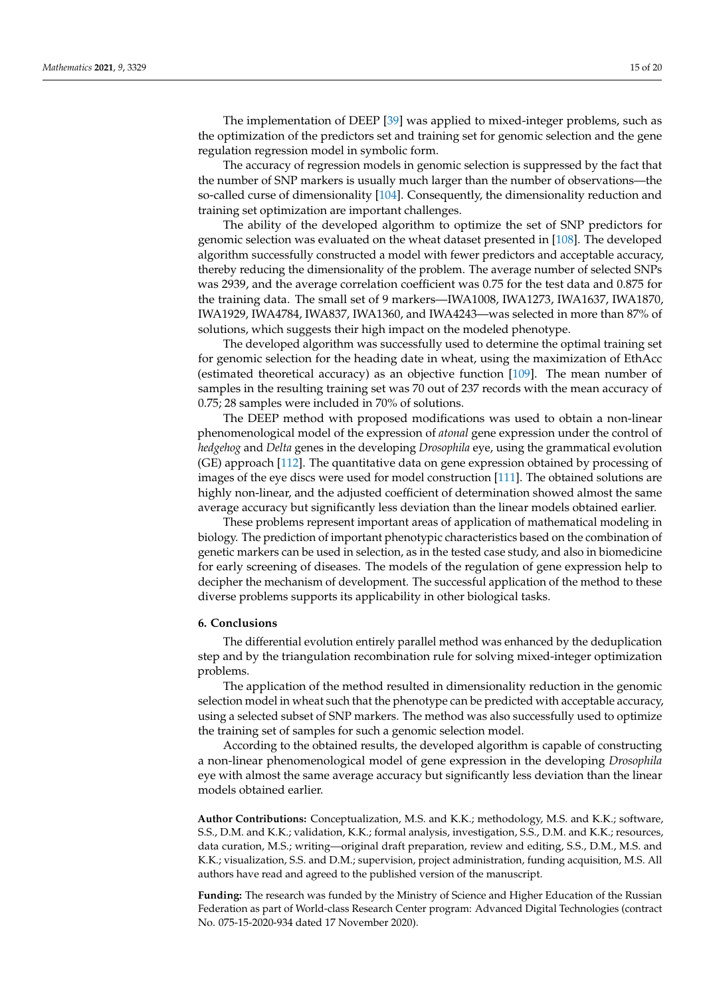The implementation of DEEP [\[39\]](#page-16-15) was applied to mixed-integer problems, such as the optimization of the predictors set and training set for genomic selection and the gene regulation regression model in symbolic form.

The accuracy of regression models in genomic selection is suppressed by the fact that the number of SNP markers is usually much larger than the number of observations—the so-called curse of dimensionality [\[104\]](#page-19-2). Consequently, the dimensionality reduction and training set optimization are important challenges.

The ability of the developed algorithm to optimize the set of SNP predictors for genomic selection was evaluated on the wheat dataset presented in [\[108\]](#page-19-6). The developed algorithm successfully constructed a model with fewer predictors and acceptable accuracy, thereby reducing the dimensionality of the problem. The average number of selected SNPs was 2939, and the average correlation coefficient was 0.75 for the test data and 0.875 for the training data. The small set of 9 markers—IWA1008, IWA1273, IWA1637, IWA1870, IWA1929, IWA4784, IWA837, IWA1360, and IWA4243—was selected in more than 87% of solutions, which suggests their high impact on the modeled phenotype.

The developed algorithm was successfully used to determine the optimal training set for genomic selection for the heading date in wheat, using the maximization of EthAcc (estimated theoretical accuracy) as an objective function [\[109\]](#page-19-7). The mean number of samples in the resulting training set was 70 out of 237 records with the mean accuracy of 0.75; 28 samples were included in 70% of solutions.

The DEEP method with proposed modifications was used to obtain a non-linear phenomenological model of the expression of *atonal* gene expression under the control of *hedgehog* and *Delta* genes in the developing *Drosophila* eye, using the grammatical evolution (GE) approach [\[112\]](#page-19-10). The quantitative data on gene expression obtained by processing of images of the eye discs were used for model construction [\[111\]](#page-19-9). The obtained solutions are highly non-linear, and the adjusted coefficient of determination showed almost the same average accuracy but significantly less deviation than the linear models obtained earlier.

These problems represent important areas of application of mathematical modeling in biology. The prediction of important phenotypic characteristics based on the combination of genetic markers can be used in selection, as in the tested case study, and also in biomedicine for early screening of diseases. The models of the regulation of gene expression help to decipher the mechanism of development. The successful application of the method to these diverse problems supports its applicability in other biological tasks.

## <span id="page-14-0"></span>**6. Conclusions**

The differential evolution entirely parallel method was enhanced by the deduplication step and by the triangulation recombination rule for solving mixed-integer optimization problems.

The application of the method resulted in dimensionality reduction in the genomic selection model in wheat such that the phenotype can be predicted with acceptable accuracy, using a selected subset of SNP markers. The method was also successfully used to optimize the training set of samples for such a genomic selection model.

According to the obtained results, the developed algorithm is capable of constructing a non-linear phenomenological model of gene expression in the developing *Drosophila* eye with almost the same average accuracy but significantly less deviation than the linear models obtained earlier.

**Author Contributions:** Conceptualization, M.S. and K.K.; methodology, M.S. and K.K.; software, S.S., D.M. and K.K.; validation, K.K.; formal analysis, investigation, S.S., D.M. and K.K.; resources, data curation, M.S.; writing—original draft preparation, review and editing, S.S., D.M., M.S. and K.K.; visualization, S.S. and D.M.; supervision, project administration, funding acquisition, M.S. All authors have read and agreed to the published version of the manuscript.

**Funding:** The research was funded by the Ministry of Science and Higher Education of the Russian Federation as part of World-class Research Center program: Advanced Digital Technologies (contract No. 075-15-2020-934 dated 17 November 2020).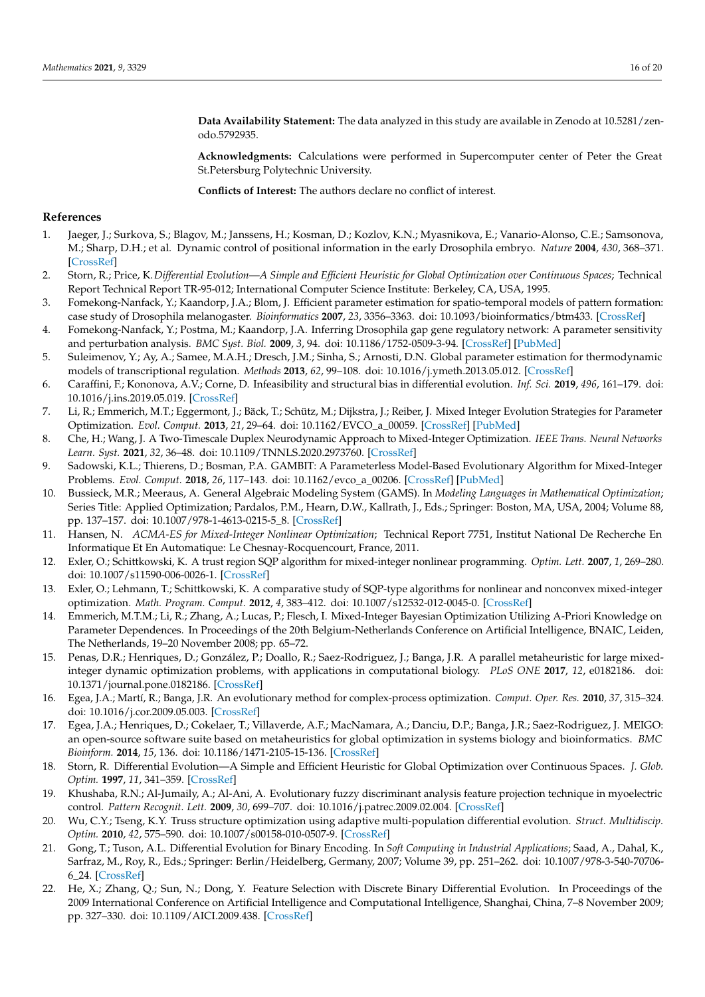**Data Availability Statement:** The data analyzed in this study are available in Zenodo at 10.5281/zenodo.5792935.

**Acknowledgments:** Calculations were performed in Supercomputer center of Peter the Great St.Petersburg Polytechnic University.

**Conflicts of Interest:** The authors declare no conflict of interest.

## **References**

- <span id="page-15-0"></span>1. Jaeger, J.; Surkova, S.; Blagov, M.; Janssens, H.; Kosman, D.; Kozlov, K.N.; Myasnikova, E.; Vanario-Alonso, C.E.; Samsonova, M.; Sharp, D.H.; et al. Dynamic control of positional information in the early Drosophila embryo. *Nature* **2004**, *430*, 368–371. [\[CrossRef\]](http://doi.org/10.1038/nature02678)
- <span id="page-15-1"></span>2. Storn, R.; Price, K.*Differential Evolution—A Simple and Efficient Heuristic for Global Optimization over Continuous Spaces*; Technical Report Technical Report TR-95-012; International Computer Science Institute: Berkeley, CA, USA, 1995.
- <span id="page-15-2"></span>3. Fomekong-Nanfack, Y.; Kaandorp, J.A.; Blom, J. Efficient parameter estimation for spatio-temporal models of pattern formation: case study of Drosophila melanogaster. *Bioinformatics* **2007**, *23*, 3356–3363. [doi: 10.1093/bioinformatics/btm433.](doi: 10.1093/bioinformatics/btm433) [\[CrossRef\]](http://dx.doi.org/10.1093/bioinformatics/btm433)
- 4. Fomekong-Nanfack, Y.; Postma, M.; Kaandorp, J.A. Inferring Drosophila gap gene regulatory network: A parameter sensitivity and perturbation analysis. *BMC Syst. Biol.* **2009**, *3*, 94. [doi: 10.1186/1752-0509-3-94.](doi: 10.1186/1752-0509-3-94) [\[CrossRef\]](http://dx.doi.org/10.1186/1752-0509-3-94) [\[PubMed\]](http://www.ncbi.nlm.nih.gov/pubmed/19769791)
- <span id="page-15-3"></span>5. Suleimenov, Y.; Ay, A.; Samee, M.A.H.; Dresch, J.M.; Sinha, S.; Arnosti, D.N. Global parameter estimation for thermodynamic models of transcriptional regulation. *Methods* **2013**, *62*, 99–108. [doi: 10.1016/j.ymeth.2013.05.012.](doi: 10.1016/j.ymeth.2013.05.012) [\[CrossRef\]](http://dx.doi.org/10.1016/j.ymeth.2013.05.012)
- <span id="page-15-4"></span>6. Caraffini, F.; Kononova, A.V.; Corne, D. Infeasibility and structural bias in differential evolution. *Inf. Sci.* **2019**, *496*, 161–179. [doi:](doi: 10.1016/j.ins.2019.05.019) [10.1016/j.ins.2019.05.019.](doi: 10.1016/j.ins.2019.05.019) [\[CrossRef\]](http://dx.doi.org/10.1016/j.ins.2019.05.019)
- <span id="page-15-5"></span>7. Li, R.; Emmerich, M.T.; Eggermont, J.; Bäck, T.; Schütz, M.; Dijkstra, J.; Reiber, J. Mixed Integer Evolution Strategies for Parameter Optimization. *Evol. Comput.* **2013**, *21*, 29–64. [doi: 10.1162/EVCO\\_a\\_00059.](doi: 10.1162/EVCO_a_00059) [\[CrossRef\]](http://dx.doi.org/10.1162/EVCO_a_00059) [\[PubMed\]](http://www.ncbi.nlm.nih.gov/pubmed/22122384)
- <span id="page-15-6"></span>8. Che, H.; Wang, J. A Two-Timescale Duplex Neurodynamic Approach to Mixed-Integer Optimization. *IEEE Trans. Neural Networks Learn. Syst.* **2021**, *32*, 36–48. [doi: 10.1109/TNNLS.2020.2973760.](doi: 10.1109/TNNLS.2020.2973760) [\[CrossRef\]](http://dx.doi.org/10.1109/TNNLS.2020.2973760)
- <span id="page-15-7"></span>9. Sadowski, K.L.; Thierens, D.; Bosman, P.A. GAMBIT: A Parameterless Model-Based Evolutionary Algorithm for Mixed-Integer Problems. *Evol. Comput.* **2018**, *26*, 117–143. [doi: 10.1162/evco\\_a\\_00206.](doi: 10.1162/evco_a_00206) [\[CrossRef\]](http://dx.doi.org/10.1162/evco_a_00206) [\[PubMed\]](http://www.ncbi.nlm.nih.gov/pubmed/28207296)
- <span id="page-15-8"></span>10. Bussieck, M.R.; Meeraus, A. General Algebraic Modeling System (GAMS). In *Modeling Languages in Mathematical Optimization*; Series Title: Applied Optimization; Pardalos, P.M., Hearn, D.W., Kallrath, J., Eds.; Springer: Boston, MA, USA, 2004; Volume 88, pp. 137–157. [doi: 10.1007/978-1-4613-0215-5\\_8.](doi: 10.1007/978-1-4613-0215-5_8) [\[CrossRef\]](http://dx.doi.org/10.1007/978-1-4613-0215-5_8)
- <span id="page-15-9"></span>11. Hansen, N. *ACMA-ES for Mixed-Integer Nonlinear Optimization*; Technical Report 7751, Institut National De Recherche En Informatique Et En Automatique: Le Chesnay-Rocquencourt, France, 2011.
- <span id="page-15-10"></span>12. Exler, O.; Schittkowski, K. A trust region SQP algorithm for mixed-integer nonlinear programming. *Optim. Lett.* **2007**, *1*, 269–280. [doi: 10.1007/s11590-006-0026-1.](doi: 10.1007/s11590-006-0026-1) [\[CrossRef\]](http://dx.doi.org/10.1007/s11590-006-0026-1)
- <span id="page-15-11"></span>13. Exler, O.; Lehmann, T.; Schittkowski, K. A comparative study of SQP-type algorithms for nonlinear and nonconvex mixed-integer optimization. *Math. Program. Comput.* **2012**, *4*, 383–412. [doi: 10.1007/s12532-012-0045-0.](doi: 10.1007/s12532-012-0045-0) [\[CrossRef\]](http://dx.doi.org/10.1007/s12532-012-0045-0)
- <span id="page-15-12"></span>14. Emmerich, M.T.M.; Li, R.; Zhang, A.; Lucas, P.; Flesch, I. Mixed-Integer Bayesian Optimization Utilizing A-Priori Knowledge on Parameter Dependences. In Proceedings of the 20th Belgium-Netherlands Conference on Artificial Intelligence, BNAIC, Leiden, The Netherlands, 19–20 November 2008; pp. 65–72.
- <span id="page-15-13"></span>15. Penas, D.R.; Henriques, D.; González, P.; Doallo, R.; Saez-Rodriguez, J.; Banga, J.R. A parallel metaheuristic for large mixedinteger dynamic optimization problems, with applications in computational biology. *PLoS ONE* **2017**, *12*, e0182186. [doi:](doi: 10.1371/journal.pone.0182186) [10.1371/journal.pone.0182186.](doi: 10.1371/journal.pone.0182186) [\[CrossRef\]](http://dx.doi.org/10.1371/journal.pone.0182186)
- <span id="page-15-14"></span>16. Egea, J.A.; Martí, R.; Banga, J.R. An evolutionary method for complex-process optimization. *Comput. Oper. Res.* **2010**, *37*, 315–324. [doi: 10.1016/j.cor.2009.05.003.](doi: 10.1016/j.cor.2009.05.003) [\[CrossRef\]](http://dx.doi.org/10.1016/j.cor.2009.05.003)
- <span id="page-15-15"></span>17. Egea, J.A.; Henriques, D.; Cokelaer, T.; Villaverde, A.F.; MacNamara, A.; Danciu, D.P.; Banga, J.R.; Saez-Rodriguez, J. MEIGO: an open-source software suite based on metaheuristics for global optimization in systems biology and bioinformatics. *BMC Bioinform.* **2014**, *15*, 136. [doi: 10.1186/1471-2105-15-136.](doi: 10.1186/1471-2105-15-136) [\[CrossRef\]](http://dx.doi.org/10.1186/1471-2105-15-136)
- <span id="page-15-16"></span>18. Storn, R. Differential Evolution—A Simple and Efficient Heuristic for Global Optimization over Continuous Spaces. *J. Glob. Optim.* **1997**, *11*, 341–359. [\[CrossRef\]](http://dx.doi.org/10.1023/A:1008202821328)
- <span id="page-15-17"></span>19. Khushaba, R.N.; Al-Jumaily, A.; Al-Ani, A. Evolutionary fuzzy discriminant analysis feature projection technique in myoelectric control. *Pattern Recognit. Lett.* **2009**, *30*, 699–707. [doi: 10.1016/j.patrec.2009.02.004.](doi: 10.1016/j.patrec.2009.02.004) [\[CrossRef\]](http://dx.doi.org/10.1016/j.patrec.2009.02.004)
- <span id="page-15-18"></span>20. Wu, C.Y.; Tseng, K.Y. Truss structure optimization using adaptive multi-population differential evolution. *Struct. Multidiscip. Optim.* **2010**, *42*, 575–590. [doi: 10.1007/s00158-010-0507-9.](doi: 10.1007/s00158-010-0507-9) [\[CrossRef\]](http://dx.doi.org/10.1007/s00158-010-0507-9)
- <span id="page-15-19"></span>21. Gong, T.; Tuson, A.L. Differential Evolution for Binary Encoding. In *Soft Computing in Industrial Applications*; Saad, A., Dahal, K., Sarfraz, M., Roy, R., Eds.; Springer: Berlin/Heidelberg, Germany, 2007; Volume 39, pp. 251–262. [doi: 10.1007/978-3-540-70706-](doi: 10.1007/978-3-540-70706-6_24) [6\\_24.](doi: 10.1007/978-3-540-70706-6_24) [\[CrossRef\]](http://dx.doi.org/10.1007/978-3-540-70706-6_24)
- <span id="page-15-20"></span>22. He, X.; Zhang, Q.; Sun, N.; Dong, Y. Feature Selection with Discrete Binary Differential Evolution. In Proceedings of the 2009 International Conference on Artificial Intelligence and Computational Intelligence, Shanghai, China, 7–8 November 2009; pp. 327–330. [doi: 10.1109/AICI.2009.438.](doi: 10.1109/AICI.2009.438) [\[CrossRef\]](http://dx.doi.org/10.1109/AICI.2009.438)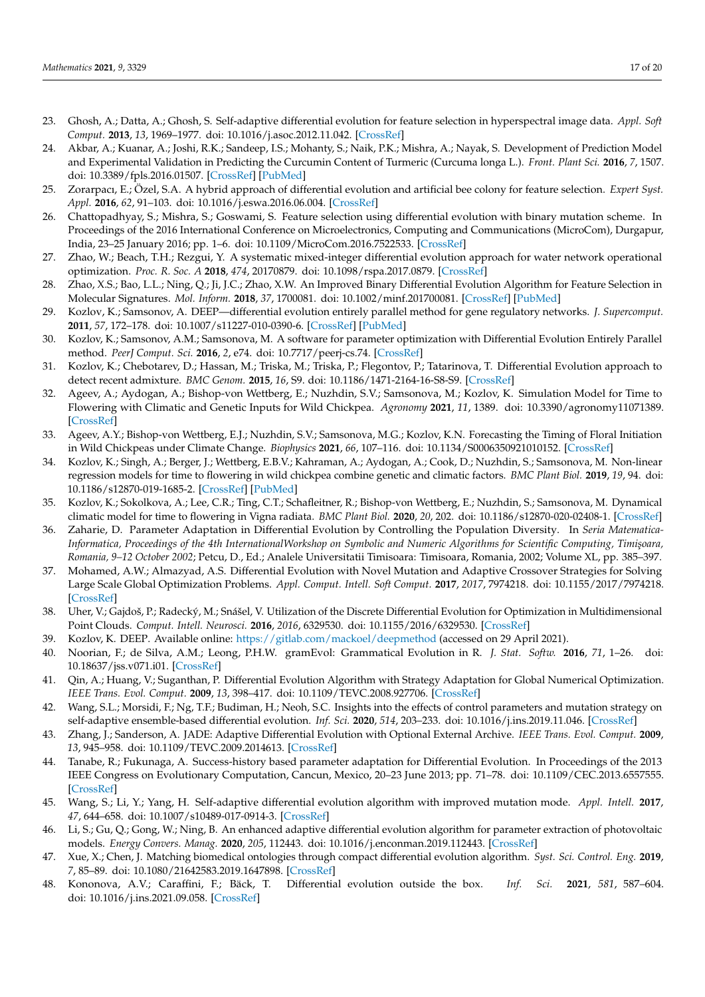- <span id="page-16-0"></span>23. Ghosh, A.; Datta, A.; Ghosh, S. Self-adaptive differential evolution for feature selection in hyperspectral image data. *Appl. Soft Comput.* **2013**, *13*, 1969–1977. [doi: 10.1016/j.asoc.2012.11.042.](doi: 10.1016/j.asoc.2012.11.042) [\[CrossRef\]](http://dx.doi.org/10.1016/j.asoc.2012.11.042)
- <span id="page-16-1"></span>24. Akbar, A.; Kuanar, A.; Joshi, R.K.; Sandeep, I.S.; Mohanty, S.; Naik, P.K.; Mishra, A.; Nayak, S. Development of Prediction Model and Experimental Validation in Predicting the Curcumin Content of Turmeric (Curcuma longa L.). *Front. Plant Sci.* **2016**, *7*, 1507. [doi: 10.3389/fpls.2016.01507.](doi: 10.3389/fpls.2016.01507) [\[CrossRef\]](http://dx.doi.org/10.3389/fpls.2016.01507) [\[PubMed\]](http://www.ncbi.nlm.nih.gov/pubmed/27766103)
- <span id="page-16-2"></span>25. Zorarpacı, E.; Özel, S.A. A hybrid approach of differential evolution and artificial bee colony for feature selection. *Expert Syst. Appl.* **2016**, *62*, 91–103. [doi: 10.1016/j.eswa.2016.06.004.](doi: 10.1016/j.eswa.2016.06.004) [\[CrossRef\]](http://dx.doi.org/10.1016/j.eswa.2016.06.004)
- <span id="page-16-3"></span>26. Chattopadhyay, S.; Mishra, S.; Goswami, S. Feature selection using differential evolution with binary mutation scheme. In Proceedings of the 2016 International Conference on Microelectronics, Computing and Communications (MicroCom), Durgapur, India, 23–25 January 2016; pp. 1–6. [doi: 10.1109/MicroCom.2016.7522533.](doi: 10.1109/MicroCom.2016.7522533) [\[CrossRef\]](http://dx.doi.org/10.1109/MicroCom.2016.7522533)
- <span id="page-16-4"></span>27. Zhao, W.; Beach, T.H.; Rezgui, Y. A systematic mixed-integer differential evolution approach for water network operational optimization. *Proc. R. Soc. A* **2018**, *474*, 20170879. [doi: 10.1098/rspa.2017.0879.](doi: 10.1098/rspa.2017.0879) [\[CrossRef\]](http://dx.doi.org/10.1098/rspa.2017.0879)
- <span id="page-16-5"></span>28. Zhao, X.S.; Bao, L.L.; Ning, Q.; Ji, J.C.; Zhao, X.W. An Improved Binary Differential Evolution Algorithm for Feature Selection in Molecular Signatures. *Mol. Inform.* **2018**, *37*, 1700081. [doi: 10.1002/minf.201700081.](doi: 10.1002/minf.201700081) [\[CrossRef\]](http://dx.doi.org/10.1002/minf.201700081) [\[PubMed\]](http://www.ncbi.nlm.nih.gov/pubmed/29106044)
- <span id="page-16-6"></span>29. Kozlov, K.; Samsonov, A. DEEP—differential evolution entirely parallel method for gene regulatory networks. *J. Supercomput.* **2011**, *57*, 172–178. [doi: 10.1007/s11227-010-0390-6.](doi: 10.1007/s11227-010-0390-6) [\[CrossRef\]](http://dx.doi.org/10.1007/s11227-010-0390-6) [\[PubMed\]](http://www.ncbi.nlm.nih.gov/pubmed/22223930)
- <span id="page-16-7"></span>30. Kozlov, K.; Samsonov, A.M.; Samsonova, M. A software for parameter optimization with Differential Evolution Entirely Parallel method. *PeerJ Comput. Sci.* **2016**, *2*, e74. [doi: 10.7717/peerj-cs.74.](doi: 10.7717/peerj-cs.74) [\[CrossRef\]](http://dx.doi.org/10.7717/peerj-cs.74)
- <span id="page-16-8"></span>31. Kozlov, K.; Chebotarev, D.; Hassan, M.; Triska, M.; Triska, P.; Flegontov, P.; Tatarinova, T. Differential Evolution approach to detect recent admixture. *BMC Genom.* **2015**, *16*, S9. [doi: 10.1186/1471-2164-16-S8-S9.](doi: 10.1186/1471-2164-16-S8-S9) [\[CrossRef\]](http://dx.doi.org/10.1186/1471-2164-16-S8-S9)
- <span id="page-16-9"></span>32. Ageev, A.; Aydogan, A.; Bishop-von Wettberg, E.; Nuzhdin, S.V.; Samsonova, M.; Kozlov, K. Simulation Model for Time to Flowering with Climatic and Genetic Inputs for Wild Chickpea. *Agronomy* **2021**, *11*, 1389. [doi: 10.3390/agronomy11071389.](doi: 10.3390/agronomy11071389) [\[CrossRef\]](http://dx.doi.org/10.3390/agronomy11071389)
- 33. Ageev, A.Y.; Bishop-von Wettberg, E.J.; Nuzhdin, S.V.; Samsonova, M.G.; Kozlov, K.N. Forecasting the Timing of Floral Initiation in Wild Chickpeas under Climate Change. *Biophysics* **2021**, *66*, 107–116. [doi: 10.1134/S0006350921010152.](doi: 10.1134/S0006350921010152) [\[CrossRef\]](http://dx.doi.org/10.1134/S0006350921010152)
- <span id="page-16-10"></span>34. Kozlov, K.; Singh, A.; Berger, J.; Wettberg, E.B.V.; Kahraman, A.; Aydogan, A.; Cook, D.; Nuzhdin, S.; Samsonova, M. Non-linear regression models for time to flowering in wild chickpea combine genetic and climatic factors. *BMC Plant Biol.* **2019**, *19*, 94. [doi:](doi: 10.1186/s12870-019-1685-2) [10.1186/s12870-019-1685-2.](doi: 10.1186/s12870-019-1685-2) [\[CrossRef\]](http://dx.doi.org/10.1186/s12870-019-1685-2) [\[PubMed\]](http://www.ncbi.nlm.nih.gov/pubmed/30890147)
- <span id="page-16-11"></span>35. Kozlov, K.; Sokolkova, A.; Lee, C.R.; Ting, C.T.; Schafleitner, R.; Bishop-von Wettberg, E.; Nuzhdin, S.; Samsonova, M. Dynamical climatic model for time to flowering in Vigna radiata. *BMC Plant Biol.* **2020**, *20*, 202. [doi: 10.1186/s12870-020-02408-1.](doi: 10.1186/s12870-020-02408-1) [\[CrossRef\]](http://dx.doi.org/10.1186/s12870-020-02408-1)
- <span id="page-16-12"></span>36. Zaharie, D. Parameter Adaptation in Differential Evolution by Controlling the Population Diversity. In *Seria Matematica-Informatica, Proceedings of the 4th InternationalWorkshop on Symbolic and Numeric Algorithms for Scientific Computing, Timi¸soara, Romania, 9–12 October 2002*; Petcu, D., Ed.; Analele Universitatii Timisoara: Timisoara, Romania, 2002; Volume XL, pp. 385–397.
- <span id="page-16-13"></span>37. Mohamed, A.W.; Almazyad, A.S. Differential Evolution with Novel Mutation and Adaptive Crossover Strategies for Solving Large Scale Global Optimization Problems. *Appl. Comput. Intell. Soft Comput.* **2017**, *2017*, 7974218. [doi: 10.1155/2017/7974218.](doi: 10.1155/2017/7974218) [\[CrossRef\]](http://dx.doi.org/10.1155/2017/7974218)
- <span id="page-16-14"></span>38. Uher, V.; Gajdoš, P.; Radecký, M.; Snášel, V. Utilization of the Discrete Differential Evolution for Optimization in Multidimensional Point Clouds. *Comput. Intell. Neurosci.* **2016**, *2016*, 6329530. [doi: 10.1155/2016/6329530.](doi: 10.1155/2016/6329530) [\[CrossRef\]](http://dx.doi.org/10.1155/2016/6329530)
- <span id="page-16-15"></span>39. Kozlov, K. DEEP. Available online: <https://gitlab.com/mackoel/deepmethod> (accessed on 29 April 2021).
- <span id="page-16-16"></span>40. Noorian, F.; de Silva, A.M.; Leong, P.H.W. gramEvol: Grammatical Evolution in R. *J. Stat. Softw.* **2016**, *71*, 1–26. [doi:](doi: 10.18637/jss.v071.i01) [10.18637/jss.v071.i01.](doi: 10.18637/jss.v071.i01) [\[CrossRef\]](http://dx.doi.org/10.18637/jss.v071.i01)
- <span id="page-16-17"></span>41. Qin, A.; Huang, V.; Suganthan, P. Differential Evolution Algorithm with Strategy Adaptation for Global Numerical Optimization. *IEEE Trans. Evol. Comput.* **2009**, *13*, 398–417. [doi: 10.1109/TEVC.2008.927706.](doi: 10.1109/TEVC.2008.927706) [\[CrossRef\]](http://dx.doi.org/10.1109/TEVC.2008.927706)
- <span id="page-16-18"></span>42. Wang, S.L.; Morsidi, F.; Ng, T.F.; Budiman, H.; Neoh, S.C. Insights into the effects of control parameters and mutation strategy on self-adaptive ensemble-based differential evolution. *Inf. Sci.* **2020**, *514*, 203–233. [doi: 10.1016/j.ins.2019.11.046.](doi: 10.1016/j.ins.2019.11.046) [\[CrossRef\]](http://dx.doi.org/10.1016/j.ins.2019.11.046)
- <span id="page-16-19"></span>43. Zhang, J.; Sanderson, A. JADE: Adaptive Differential Evolution with Optional External Archive. *IEEE Trans. Evol. Comput.* **2009**, *13*, 945–958. [doi: 10.1109/TEVC.2009.2014613.](doi: 10.1109/TEVC.2009.2014613) [\[CrossRef\]](http://dx.doi.org/10.1109/TEVC.2009.2014613)
- <span id="page-16-20"></span>44. Tanabe, R.; Fukunaga, A. Success-history based parameter adaptation for Differential Evolution. In Proceedings of the 2013 IEEE Congress on Evolutionary Computation, Cancun, Mexico, 20–23 June 2013; pp. 71–78. [doi: 10.1109/CEC.2013.6557555.](doi: 10.1109/CEC.2013.6557555) [\[CrossRef\]](http://dx.doi.org/10.1109/CEC.2013.6557555)
- <span id="page-16-21"></span>45. Wang, S.; Li, Y.; Yang, H. Self-adaptive differential evolution algorithm with improved mutation mode. *Appl. Intell.* **2017**, *47*, 644–658. [doi: 10.1007/s10489-017-0914-3.](doi: 10.1007/s10489-017-0914-3) [\[CrossRef\]](http://dx.doi.org/10.1007/s10489-017-0914-3)
- <span id="page-16-22"></span>46. Li, S.; Gu, Q.; Gong, W.; Ning, B. An enhanced adaptive differential evolution algorithm for parameter extraction of photovoltaic models. *Energy Convers. Manag.* **2020**, *205*, 112443. [doi: 10.1016/j.enconman.2019.112443.](doi: 10.1016/j.enconman.2019.112443) [\[CrossRef\]](http://dx.doi.org/10.1016/j.enconman.2019.112443)
- <span id="page-16-23"></span>47. Xue, X.; Chen, J. Matching biomedical ontologies through compact differential evolution algorithm. *Syst. Sci. Control. Eng.* **2019**, *7*, 85–89. [doi: 10.1080/21642583.2019.1647898.](doi: 10.1080/21642583.2019.1647898) [\[CrossRef\]](http://dx.doi.org/10.1080/21642583.2019.1647898)
- <span id="page-16-24"></span>48. Kononova, A.V.; Caraffini, F.; Bäck, T. Differential evolution outside the box. *Inf. Sci.* **2021**, *581*, 587–604. [doi: 10.1016/j.ins.2021.09.058.](doi: 10.1016/j.ins.2021.09.058) [\[CrossRef\]](http://dx.doi.org/10.1016/j.ins.2021.09.058)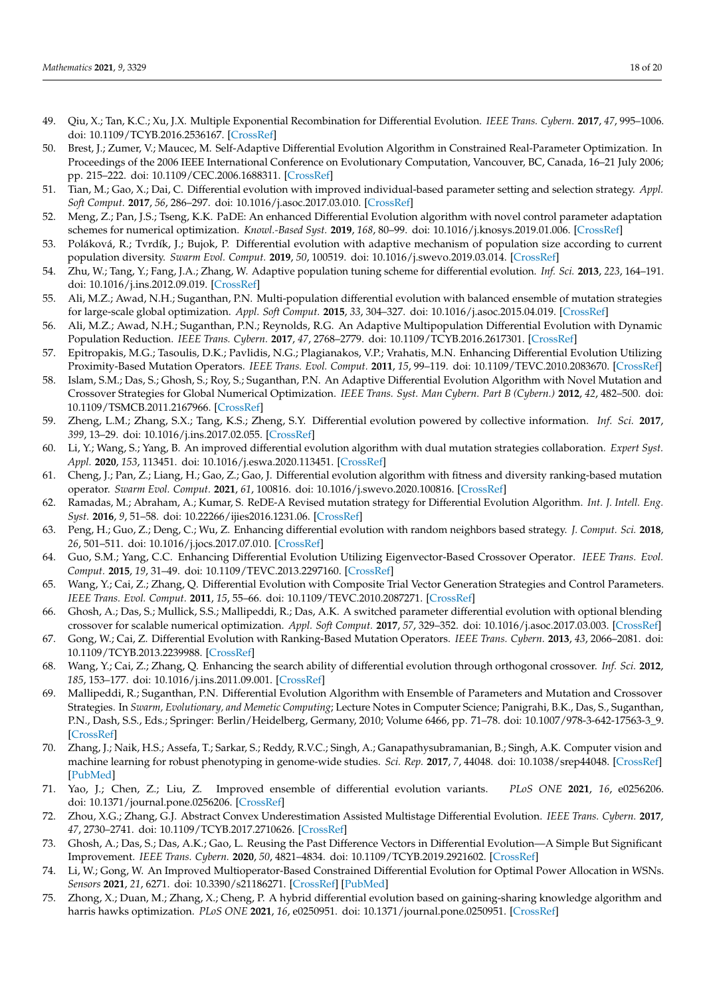- <span id="page-17-0"></span>49. Qiu, X.; Tan, K.C.; Xu, J.X. Multiple Exponential Recombination for Differential Evolution. *IEEE Trans. Cybern.* **2017**, *47*, 995–1006. [doi: 10.1109/TCYB.2016.2536167.](doi: 10.1109/TCYB.2016.2536167) [\[CrossRef\]](http://dx.doi.org/10.1109/TCYB.2016.2536167)
- <span id="page-17-1"></span>50. Brest, J.; Zumer, V.; Maucec, M. Self-Adaptive Differential Evolution Algorithm in Constrained Real-Parameter Optimization. In Proceedings of the 2006 IEEE International Conference on Evolutionary Computation, Vancouver, BC, Canada, 16–21 July 2006; pp. 215–222. [doi: 10.1109/CEC.2006.1688311.](doi: 10.1109/CEC.2006.1688311) [\[CrossRef\]](http://dx.doi.org/10.1109/CEC.2006.1688311)
- <span id="page-17-2"></span>51. Tian, M.; Gao, X.; Dai, C. Differential evolution with improved individual-based parameter setting and selection strategy. *Appl. Soft Comput.* **2017**, *56*, 286–297. [doi: 10.1016/j.asoc.2017.03.010.](doi: 10.1016/j.asoc.2017.03.010) [\[CrossRef\]](http://dx.doi.org/10.1016/j.asoc.2017.03.010)
- <span id="page-17-3"></span>52. Meng, Z.; Pan, J.S.; Tseng, K.K. PaDE: An enhanced Differential Evolution algorithm with novel control parameter adaptation schemes for numerical optimization. *Knowl.-Based Syst.* **2019**, *168*, 80–99. [doi: 10.1016/j.knosys.2019.01.006.](doi: 10.1016/j.knosys.2019.01.006) [\[CrossRef\]](http://dx.doi.org/10.1016/j.knosys.2019.01.006)
- <span id="page-17-4"></span>53. Poláková, R.; Tvrdík, J.; Bujok, P. Differential evolution with adaptive mechanism of population size according to current population diversity. *Swarm Evol. Comput.* **2019**, *50*, 100519. [doi: 10.1016/j.swevo.2019.03.014.](doi: 10.1016/j.swevo.2019.03.014) [\[CrossRef\]](http://dx.doi.org/10.1016/j.swevo.2019.03.014)
- <span id="page-17-5"></span>54. Zhu, W.; Tang, Y.; Fang, J.A.; Zhang, W. Adaptive population tuning scheme for differential evolution. *Inf. Sci.* **2013**, *223*, 164–191. [doi: 10.1016/j.ins.2012.09.019.](doi: 10.1016/j.ins.2012.09.019) [\[CrossRef\]](http://dx.doi.org/10.1016/j.ins.2012.09.019)
- <span id="page-17-6"></span>55. Ali, M.Z.; Awad, N.H.; Suganthan, P.N. Multi-population differential evolution with balanced ensemble of mutation strategies for large-scale global optimization. *Appl. Soft Comput.* **2015**, *33*, 304–327. [doi: 10.1016/j.asoc.2015.04.019.](doi: 10.1016/j.asoc.2015.04.019) [\[CrossRef\]](http://dx.doi.org/10.1016/j.asoc.2015.04.019)
- <span id="page-17-7"></span>56. Ali, M.Z.; Awad, N.H.; Suganthan, P.N.; Reynolds, R.G. An Adaptive Multipopulation Differential Evolution with Dynamic Population Reduction. *IEEE Trans. Cybern.* **2017**, *47*, 2768–2779. [doi: 10.1109/TCYB.2016.2617301.](doi: 10.1109/TCYB.2016.2617301) [\[CrossRef\]](http://dx.doi.org/10.1109/TCYB.2016.2617301)
- <span id="page-17-8"></span>57. Epitropakis, M.G.; Tasoulis, D.K.; Pavlidis, N.G.; Plagianakos, V.P.; Vrahatis, M.N. Enhancing Differential Evolution Utilizing Proximity-Based Mutation Operators. *IEEE Trans. Evol. Comput.* **2011**, *15*, 99–119. [doi: 10.1109/TEVC.2010.2083670.](doi: 10.1109/TEVC.2010.2083670) [\[CrossRef\]](http://dx.doi.org/10.1109/TEVC.2010.2083670)
- <span id="page-17-9"></span>58. Islam, S.M.; Das, S.; Ghosh, S.; Roy, S.; Suganthan, P.N. An Adaptive Differential Evolution Algorithm with Novel Mutation and Crossover Strategies for Global Numerical Optimization. *IEEE Trans. Syst. Man Cybern. Part B (Cybern.)* **2012**, *42*, 482–500. [doi:](doi: 10.1109/TSMCB.2011.2167966) [10.1109/TSMCB.2011.2167966.](doi: 10.1109/TSMCB.2011.2167966) [\[CrossRef\]](http://dx.doi.org/10.1109/TSMCB.2011.2167966)
- <span id="page-17-10"></span>59. Zheng, L.M.; Zhang, S.X.; Tang, K.S.; Zheng, S.Y. Differential evolution powered by collective information. *Inf. Sci.* **2017**, *399*, 13–29. [doi: 10.1016/j.ins.2017.02.055.](doi: 10.1016/j.ins.2017.02.055) [\[CrossRef\]](http://dx.doi.org/10.1016/j.ins.2017.02.055)
- <span id="page-17-11"></span>60. Li, Y.; Wang, S.; Yang, B. An improved differential evolution algorithm with dual mutation strategies collaboration. *Expert Syst. Appl.* **2020**, *153*, 113451. [doi: 10.1016/j.eswa.2020.113451.](doi: 10.1016/j.eswa.2020.113451) [\[CrossRef\]](http://dx.doi.org/10.1016/j.eswa.2020.113451)
- <span id="page-17-12"></span>61. Cheng, J.; Pan, Z.; Liang, H.; Gao, Z.; Gao, J. Differential evolution algorithm with fitness and diversity ranking-based mutation operator. *Swarm Evol. Comput.* **2021**, *61*, 100816. [doi: 10.1016/j.swevo.2020.100816.](doi: 10.1016/j.swevo.2020.100816) [\[CrossRef\]](http://dx.doi.org/10.1016/j.swevo.2020.100816)
- <span id="page-17-13"></span>62. Ramadas, M.; Abraham, A.; Kumar, S. ReDE-A Revised mutation strategy for Differential Evolution Algorithm. *Int. J. Intell. Eng. Syst.* **2016**, *9*, 51–58. [doi: 10.22266/ijies2016.1231.06.](doi: 10.22266/ijies2016.1231.06) [\[CrossRef\]](http://dx.doi.org/10.22266/ijies2016.1231.06)
- <span id="page-17-14"></span>63. Peng, H.; Guo, Z.; Deng, C.; Wu, Z. Enhancing differential evolution with random neighbors based strategy. *J. Comput. Sci.* **2018**, *26*, 501–511. [doi: 10.1016/j.jocs.2017.07.010.](doi: 10.1016/j.jocs.2017.07.010) [\[CrossRef\]](http://dx.doi.org/10.1016/j.jocs.2017.07.010)
- <span id="page-17-15"></span>64. Guo, S.M.; Yang, C.C. Enhancing Differential Evolution Utilizing Eigenvector-Based Crossover Operator. *IEEE Trans. Evol. Comput.* **2015**, *19*, 31–49. [doi: 10.1109/TEVC.2013.2297160.](doi: 10.1109/TEVC.2013.2297160) [\[CrossRef\]](http://dx.doi.org/10.1109/TEVC.2013.2297160)
- <span id="page-17-16"></span>65. Wang, Y.; Cai, Z.; Zhang, Q. Differential Evolution with Composite Trial Vector Generation Strategies and Control Parameters. *IEEE Trans. Evol. Comput.* **2011**, *15*, 55–66. [doi: 10.1109/TEVC.2010.2087271.](doi: 10.1109/TEVC.2010.2087271) [\[CrossRef\]](http://dx.doi.org/10.1109/TEVC.2010.2087271)
- <span id="page-17-17"></span>66. Ghosh, A.; Das, S.; Mullick, S.S.; Mallipeddi, R.; Das, A.K. A switched parameter differential evolution with optional blending crossover for scalable numerical optimization. *Appl. Soft Comput.* **2017**, *57*, 329–352. [doi: 10.1016/j.asoc.2017.03.003.](doi: 10.1016/j.asoc.2017.03.003) [\[CrossRef\]](http://dx.doi.org/10.1016/j.asoc.2017.03.003)
- <span id="page-17-18"></span>67. Gong, W.; Cai, Z. Differential Evolution with Ranking-Based Mutation Operators. *IEEE Trans. Cybern.* **2013**, *43*, 2066–2081. [doi:](doi: 10.1109/TCYB.2013.2239988) [10.1109/TCYB.2013.2239988.](doi: 10.1109/TCYB.2013.2239988) [\[CrossRef\]](http://dx.doi.org/10.1109/TCYB.2013.2239988)
- <span id="page-17-19"></span>68. Wang, Y.; Cai, Z.; Zhang, Q. Enhancing the search ability of differential evolution through orthogonal crossover. *Inf. Sci.* **2012**, *185*, 153–177. [doi: 10.1016/j.ins.2011.09.001.](doi: 10.1016/j.ins.2011.09.001) [\[CrossRef\]](http://dx.doi.org/10.1016/j.ins.2011.09.001)
- <span id="page-17-20"></span>69. Mallipeddi, R.; Suganthan, P.N. Differential Evolution Algorithm with Ensemble of Parameters and Mutation and Crossover Strategies. In *Swarm, Evolutionary, and Memetic Computing*; Lecture Notes in Computer Science; Panigrahi, B.K., Das, S., Suganthan, P.N., Dash, S.S., Eds.; Springer: Berlin/Heidelberg, Germany, 2010; Volume 6466, pp. 71–78. [doi: 10.1007/978-3-642-17563-3\\_9.](doi: 10.1007/978-3-642-17563-3_9) [\[CrossRef\]](http://dx.doi.org/10.1007/978-3-642-17563-3_9)
- <span id="page-17-21"></span>70. Zhang, J.; Naik, H.S.; Assefa, T.; Sarkar, S.; Reddy, R.V.C.; Singh, A.; Ganapathysubramanian, B.; Singh, A.K. Computer vision and machine learning for robust phenotyping in genome-wide studies. *Sci. Rep.* **2017**, *7*, 44048. [doi: 10.1038/srep44048.](doi: 10.1038/srep44048) [\[CrossRef\]](http://dx.doi.org/10.1038/srep44048) [\[PubMed\]](http://www.ncbi.nlm.nih.gov/pubmed/28272456)
- <span id="page-17-22"></span>71. Yao, J.; Chen, Z.; Liu, Z. Improved ensemble of differential evolution variants. *PLoS ONE* **2021**, *16*, e0256206. [doi: 10.1371/journal.pone.0256206.](doi: 10.1371/journal.pone.0256206) [\[CrossRef\]](http://dx.doi.org/10.1371/journal.pone.0256206)
- <span id="page-17-23"></span>72. Zhou, X.G.; Zhang, G.J. Abstract Convex Underestimation Assisted Multistage Differential Evolution. *IEEE Trans. Cybern.* **2017**, *47*, 2730–2741. [doi: 10.1109/TCYB.2017.2710626.](doi: 10.1109/TCYB.2017.2710626) [\[CrossRef\]](http://dx.doi.org/10.1109/TCYB.2017.2710626)
- <span id="page-17-24"></span>73. Ghosh, A.; Das, S.; Das, A.K.; Gao, L. Reusing the Past Difference Vectors in Differential Evolution—A Simple But Significant Improvement. *IEEE Trans. Cybern.* **2020**, *50*, 4821–4834. [doi: 10.1109/TCYB.2019.2921602.](doi: 10.1109/TCYB.2019.2921602) [\[CrossRef\]](http://dx.doi.org/10.1109/TCYB.2019.2921602)
- <span id="page-17-25"></span>74. Li, W.; Gong, W. An Improved Multioperator-Based Constrained Differential Evolution for Optimal Power Allocation in WSNs. *Sensors* **2021**, *21*, 6271. [doi: 10.3390/s21186271.](doi: 10.3390/s21186271) [\[CrossRef\]](http://dx.doi.org/10.3390/s21186271) [\[PubMed\]](http://www.ncbi.nlm.nih.gov/pubmed/34577477)
- <span id="page-17-26"></span>75. Zhong, X.; Duan, M.; Zhang, X.; Cheng, P. A hybrid differential evolution based on gaining-sharing knowledge algorithm and harris hawks optimization. *PLoS ONE* **2021**, *16*, e0250951. [doi: 10.1371/journal.pone.0250951.](doi: 10.1371/journal.pone.0250951) [\[CrossRef\]](http://dx.doi.org/10.1371/journal.pone.0250951)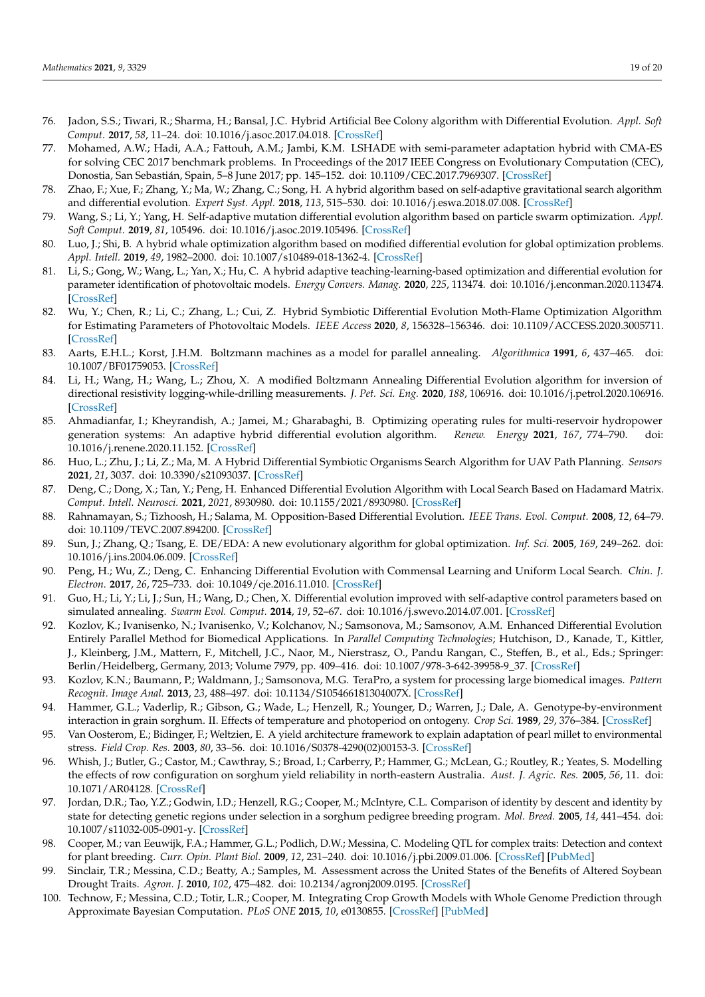- <span id="page-18-0"></span>76. Jadon, S.S.; Tiwari, R.; Sharma, H.; Bansal, J.C. Hybrid Artificial Bee Colony algorithm with Differential Evolution. *Appl. Soft Comput.* **2017**, *58*, 11–24. [doi: 10.1016/j.asoc.2017.04.018.](doi: 10.1016/j.asoc.2017.04.018) [\[CrossRef\]](http://dx.doi.org/10.1016/j.asoc.2017.04.018)
- <span id="page-18-1"></span>77. Mohamed, A.W.; Hadi, A.A.; Fattouh, A.M.; Jambi, K.M. LSHADE with semi-parameter adaptation hybrid with CMA-ES for solving CEC 2017 benchmark problems. In Proceedings of the 2017 IEEE Congress on Evolutionary Computation (CEC), Donostia, San Sebastián, Spain, 5–8 June 2017; pp. 145–152. [doi: 10.1109/CEC.2017.7969307.](doi: 10.1109/CEC.2017.7969307) [\[CrossRef\]](http://dx.doi.org/10.1109/CEC.2017.7969307)
- <span id="page-18-2"></span>78. Zhao, F.; Xue, F.; Zhang, Y.; Ma, W.; Zhang, C.; Song, H. A hybrid algorithm based on self-adaptive gravitational search algorithm and differential evolution. *Expert Syst. Appl.* **2018**, *113*, 515–530. [doi: 10.1016/j.eswa.2018.07.008.](doi: 10.1016/j.eswa.2018.07.008) [\[CrossRef\]](http://dx.doi.org/10.1016/j.eswa.2018.07.008)
- <span id="page-18-3"></span>79. Wang, S.; Li, Y.; Yang, H. Self-adaptive mutation differential evolution algorithm based on particle swarm optimization. *Appl. Soft Comput.* **2019**, *81*, 105496. [doi: 10.1016/j.asoc.2019.105496.](doi: 10.1016/j.asoc.2019.105496) [\[CrossRef\]](http://dx.doi.org/10.1016/j.asoc.2019.105496)
- <span id="page-18-4"></span>80. Luo, J.; Shi, B. A hybrid whale optimization algorithm based on modified differential evolution for global optimization problems. *Appl. Intell.* **2019**, *49*, 1982–2000. [doi: 10.1007/s10489-018-1362-4.](doi: 10.1007/s10489-018-1362-4) [\[CrossRef\]](http://dx.doi.org/10.1007/s10489-018-1362-4)
- <span id="page-18-5"></span>81. Li, S.; Gong, W.; Wang, L.; Yan, X.; Hu, C. A hybrid adaptive teaching-learning-based optimization and differential evolution for parameter identification of photovoltaic models. *Energy Convers. Manag.* **2020**, *225*, 113474. [doi: 10.1016/j.enconman.2020.113474.](doi: 10.1016/j.enconman.2020.113474) [\[CrossRef\]](http://dx.doi.org/10.1016/j.enconman.2020.113474)
- <span id="page-18-6"></span>82. Wu, Y.; Chen, R.; Li, C.; Zhang, L.; Cui, Z. Hybrid Symbiotic Differential Evolution Moth-Flame Optimization Algorithm for Estimating Parameters of Photovoltaic Models. *IEEE Access* **2020**, *8*, 156328–156346. [doi: 10.1109/ACCESS.2020.3005711.](doi: 10.1109/ACCESS.2020.3005711) [\[CrossRef\]](http://dx.doi.org/10.1109/ACCESS.2020.3005711)
- <span id="page-18-7"></span>83. Aarts, E.H.L.; Korst, J.H.M. Boltzmann machines as a model for parallel annealing. *Algorithmica* **1991**, *6*, 437–465. [doi:](doi: 10.1007/BF01759053) [10.1007/BF01759053.](doi: 10.1007/BF01759053) [\[CrossRef\]](http://dx.doi.org/10.1007/BF01759053)
- <span id="page-18-8"></span>84. Li, H.; Wang, H.; Wang, L.; Zhou, X. A modified Boltzmann Annealing Differential Evolution algorithm for inversion of directional resistivity logging-while-drilling measurements. *J. Pet. Sci. Eng.* **2020**, *188*, 106916. [doi: 10.1016/j.petrol.2020.106916.](doi: 10.1016/j.petrol.2020.106916) [\[CrossRef\]](http://dx.doi.org/10.1016/j.petrol.2020.106916)
- <span id="page-18-9"></span>85. Ahmadianfar, I.; Kheyrandish, A.; Jamei, M.; Gharabaghi, B. Optimizing operating rules for multi-reservoir hydropower generation systems: An adaptive hybrid differential evolution algorithm. *Renew. Energy* **2021**, *167*, 774–790. [doi:](doi: 10.1016/j.renene.2020.11.152) [10.1016/j.renene.2020.11.152.](doi: 10.1016/j.renene.2020.11.152) [\[CrossRef\]](http://dx.doi.org/10.1016/j.renene.2020.11.152)
- <span id="page-18-10"></span>86. Huo, L.; Zhu, J.; Li, Z.; Ma, M. A Hybrid Differential Symbiotic Organisms Search Algorithm for UAV Path Planning. *Sensors* **2021**, *21*, 3037. [doi: 10.3390/s21093037.](doi: 10.3390/s21093037) [\[CrossRef\]](http://dx.doi.org/10.3390/s21093037)
- <span id="page-18-11"></span>87. Deng, C.; Dong, X.; Tan, Y.; Peng, H. Enhanced Differential Evolution Algorithm with Local Search Based on Hadamard Matrix. *Comput. Intell. Neurosci.* **2021**, *2021*, 8930980. [doi: 10.1155/2021/8930980.](doi: 10.1155/2021/8930980) [\[CrossRef\]](http://dx.doi.org/10.1155/2021/8930980)
- <span id="page-18-12"></span>88. Rahnamayan, S.; Tizhoosh, H.; Salama, M. Opposition-Based Differential Evolution. *IEEE Trans. Evol. Comput.* **2008**, *12*, 64–79. [doi: 10.1109/TEVC.2007.894200.](doi: 10.1109/TEVC.2007.894200) [\[CrossRef\]](http://dx.doi.org/10.1109/TEVC.2007.894200)
- <span id="page-18-13"></span>89. Sun, J.; Zhang, Q.; Tsang, E. DE/EDA: A new evolutionary algorithm for global optimization. *Inf. Sci.* **2005**, *169*, 249–262. [doi:](doi: 10.1016/j.ins.2004.06.009) [10.1016/j.ins.2004.06.009.](doi: 10.1016/j.ins.2004.06.009) [\[CrossRef\]](http://dx.doi.org/10.1016/j.ins.2004.06.009)
- <span id="page-18-14"></span>90. Peng, H.; Wu, Z.; Deng, C. Enhancing Differential Evolution with Commensal Learning and Uniform Local Search. *Chin. J. Electron.* **2017**, *26*, 725–733. [doi: 10.1049/cje.2016.11.010.](doi: 10.1049/cje.2016.11.010) [\[CrossRef\]](http://dx.doi.org/10.1049/cje.2016.11.010)
- <span id="page-18-15"></span>91. Guo, H.; Li, Y.; Li, J.; Sun, H.; Wang, D.; Chen, X. Differential evolution improved with self-adaptive control parameters based on simulated annealing. *Swarm Evol. Comput.* **2014**, *19*, 52–67. [doi: 10.1016/j.swevo.2014.07.001.](doi: 10.1016/j.swevo.2014.07.001) [\[CrossRef\]](http://dx.doi.org/10.1016/j.swevo.2014.07.001)
- <span id="page-18-16"></span>92. Kozlov, K.; Ivanisenko, N.; Ivanisenko, V.; Kolchanov, N.; Samsonova, M.; Samsonov, A.M. Enhanced Differential Evolution Entirely Parallel Method for Biomedical Applications. In *Parallel Computing Technologies*; Hutchison, D., Kanade, T., Kittler, J., Kleinberg, J.M., Mattern, F., Mitchell, J.C., Naor, M., Nierstrasz, O., Pandu Rangan, C., Steffen, B., et al., Eds.; Springer: Berlin/Heidelberg, Germany, 2013; Volume 7979, pp. 409–416. [doi: 10.1007/978-3-642-39958-9\\_37.](doi: 10.1007/978-3-642-39958-9_37) [\[CrossRef\]](http://dx.doi.org/10.1007/978-3-642-39958-9_37)
- <span id="page-18-17"></span>93. Kozlov, K.N.; Baumann, P.; Waldmann, J.; Samsonova, M.G. TeraPro, a system for processing large biomedical images. *Pattern Recognit. Image Anal.* **2013**, *23*, 488–497. [doi: 10.1134/S105466181304007X.](doi: 10.1134/S105466181304007X) [\[CrossRef\]](http://dx.doi.org/10.1134/S105466181304007X)
- <span id="page-18-18"></span>94. Hammer, G.L.; Vaderlip, R.; Gibson, G.; Wade, L.; Henzell, R.; Younger, D.; Warren, J.; Dale, A. Genotype-by-environment interaction in grain sorghum. II. Effects of temperature and photoperiod on ontogeny. *Crop Sci.* **1989**, *29*, 376–384. [\[CrossRef\]](http://dx.doi.org/10.2135/cropsci1989.0011183X002900020029x)
- 95. Van Oosterom, E.; Bidinger, F.; Weltzien, E. A yield architecture framework to explain adaptation of pearl millet to environmental stress. *Field Crop. Res.* **2003**, *80*, 33–56. [doi: 10.1016/S0378-4290\(02\)00153-3.](doi: 10.1016/S0378-4290(02)00153-3) [\[CrossRef\]](http://dx.doi.org/10.1016/S0378-4290(02)00153-3)
- <span id="page-18-19"></span>96. Whish, J.; Butler, G.; Castor, M.; Cawthray, S.; Broad, I.; Carberry, P.; Hammer, G.; McLean, G.; Routley, R.; Yeates, S. Modelling the effects of row configuration on sorghum yield reliability in north-eastern Australia. *Aust. J. Agric. Res.* **2005**, *56*, 11. [doi:](doi: 10.1071/AR04128) [10.1071/AR04128.](doi: 10.1071/AR04128) [\[CrossRef\]](http://dx.doi.org/10.1071/AR04128)
- <span id="page-18-20"></span>97. Jordan, D.R.; Tao, Y.Z.; Godwin, I.D.; Henzell, R.G.; Cooper, M.; McIntyre, C.L. Comparison of identity by descent and identity by state for detecting genetic regions under selection in a sorghum pedigree breeding program. *Mol. Breed.* **2005**, *14*, 441–454. [doi:](doi: 10.1007/s11032-005-0901-y) [10.1007/s11032-005-0901-y.](doi: 10.1007/s11032-005-0901-y) [\[CrossRef\]](http://dx.doi.org/10.1007/s11032-005-0901-y)
- 98. Cooper, M.; van Eeuwijk, F.A.; Hammer, G.L.; Podlich, D.W.; Messina, C. Modeling QTL for complex traits: Detection and context for plant breeding. *Curr. Opin. Plant Biol.* **2009**, *12*, 231–240. [doi: 10.1016/j.pbi.2009.01.006.](doi: 10.1016/j.pbi.2009.01.006) [\[CrossRef\]](http://dx.doi.org/10.1016/j.pbi.2009.01.006) [\[PubMed\]](http://www.ncbi.nlm.nih.gov/pubmed/19282235)
- 99. Sinclair, T.R.; Messina, C.D.; Beatty, A.; Samples, M. Assessment across the United States of the Benefits of Altered Soybean Drought Traits. *Agron. J.* **2010**, *102*, 475–482. [doi: 10.2134/agronj2009.0195.](doi: 10.2134/agronj2009.0195) [\[CrossRef\]](http://dx.doi.org/10.2134/agronj2009.0195)
- <span id="page-18-21"></span>100. Technow, F.; Messina, C.D.; Totir, L.R.; Cooper, M. Integrating Crop Growth Models with Whole Genome Prediction through Approximate Bayesian Computation. *PLoS ONE* **2015**, *10*, e0130855. [\[CrossRef\]](http://dx.doi.org/10.1371/journal.pone.0130855) [\[PubMed\]](http://www.ncbi.nlm.nih.gov/pubmed/26121133)